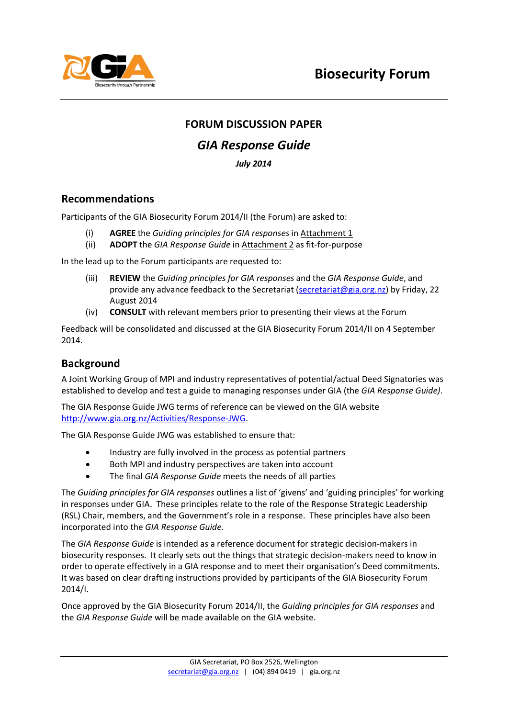

### **FORUM DISCUSSION PAPER**

### *GIA Response Guide*

*July 2014*

### **Recommendations**

Participants of the GIA Biosecurity Forum 2014/II (the Forum) are asked to:

- (i) **AGREE** the *Guiding principles for GIA responses* in Attachment 1
- (ii) **ADOPT** the *GIA Response Guide* in Attachment 2 as fit-for-purpose

In the lead up to the Forum participants are requested to:

- (iii) **REVIEW** the *Guiding principles for GIA responses* and the *GIA Response Guide*, and provide any advance feedback to the Secretariat [\(secretariat@gia.org.nz\)](mailto:secretariat@gia.org.nz) by Friday, 22 August 2014
- (iv) **CONSULT** with relevant members prior to presenting their views at the Forum

Feedback will be consolidated and discussed at the GIA Biosecurity Forum 2014/II on 4 September 2014.

### **Background**

A Joint Working Group of MPI and industry representatives of potential/actual Deed Signatories was established to develop and test a guide to managing responses under GIA (the *GIA Response Guide)*.

The GIA Response Guide JWG terms of reference can be viewed on the GIA website [http://www.gia.org.nz/Activities/Response-JWG.](http://www.gia.org.nz/Activities/Response-JWG)

The GIA Response Guide JWG was established to ensure that:

- Industry are fully involved in the process as potential partners
- Both MPI and industry perspectives are taken into account
- The final *GIA Response Guide* meets the needs of all parties

The *Guiding principles for GIA responses* outlines a list of 'givens' and 'guiding principles' for working in responses under GIA. These principles relate to the role of the Response Strategic Leadership (RSL) Chair, members, and the Government's role in a response. These principles have also been incorporated into the *GIA Response Guide.*

The *GIA Response Guide* is intended as a reference document for strategic decision-makers in biosecurity responses. It clearly sets out the things that strategic decision-makers need to know in order to operate effectively in a GIA response and to meet their organisation's Deed commitments. It was based on clear drafting instructions provided by participants of the GIA Biosecurity Forum 2014/I.

Once approved by the GIA Biosecurity Forum 2014/II, the *Guiding principles for GIA responses* and the *GIA Response Guide* will be made available on the GIA website.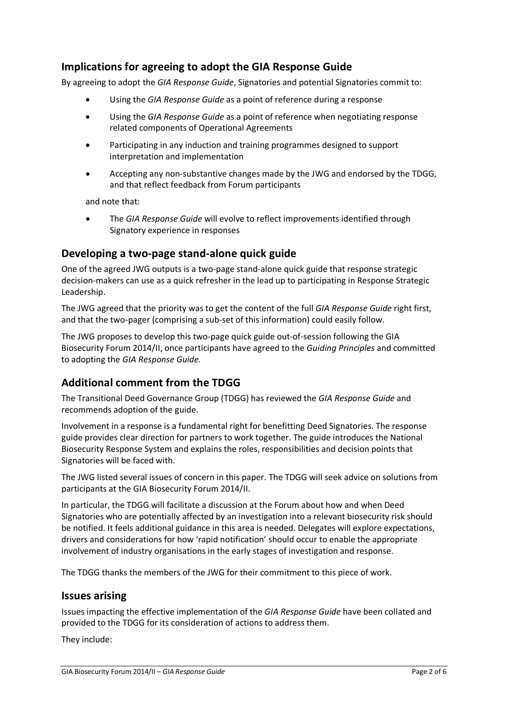### **Implications for agreeing to adopt the GIA Response Guide**

By agreeing to adopt the *GIA Response Guide*, Signatories and potential Signatories commit to:

- Using the *GIA Response Guide* as a point of reference during a response
- Using the *GIA Response Guide* as a point of reference when negotiating response related components of Operational Agreements
- Participating in any induction and training programmes designed to support interpretation and implementation
- Accepting any non-substantive changes made by the JWG and endorsed by the TDGG, and that reflect feedback from Forum participants

and note that:

• The *GIA Response Guide* will evolve to reflect improvements identified through Signatory experience in responses

### **Developing a two-page stand-alone quick guide**

One of the agreed JWG outputs is a two-page stand-alone quick guide that response strategic decision-makers can use as a quick refresher in the lead up to participating in Response Strategic Leadership.

The JWG agreed that the priority was to get the content of the full *GIA Response Guide* right first, and that the two-pager (comprising a sub-set of this information) could easily follow.

The JWG proposes to develop this two-page quick guide out-of-session following the GIA Biosecurity Forum 2014/II, once participants have agreed to the *Guiding Principles* and committed to adopting the *GIA Response Guide.*

### **Additional comment from the TDGG**

The Transitional Deed Governance Group (TDGG) has reviewed the *GIA Response Guide* and recommends adoption of the guide.

Involvement in a response is a fundamental right for benefitting Deed Signatories. The response guide provides clear direction for partners to work together. The guide introduces the National Biosecurity Response System and explains the roles, responsibilities and decision points that Signatories will be faced with.

The JWG listed several issues of concern in this paper. The TDGG will seek advice on solutions from participants at the GIA Biosecurity Forum 2014/II.

In particular, the TDGG will facilitate a discussion at the Forum about how and when Deed Signatories who are potentially affected by an investigation into a relevant biosecurity risk should be notified. It feels additional guidance in this area is needed. Delegates will explore expectations, drivers and considerations for how 'rapid notification' should occur to enable the appropriate involvement of industry organisations in the early stages of investigation and response.

The TDGG thanks the members of the JWG for their commitment to this piece of work.

### **Issues arising**

Issues impacting the effective implementation of the *GIA Response Guide* have been collated and provided to the TDGG for its consideration of actions to address them.

They include: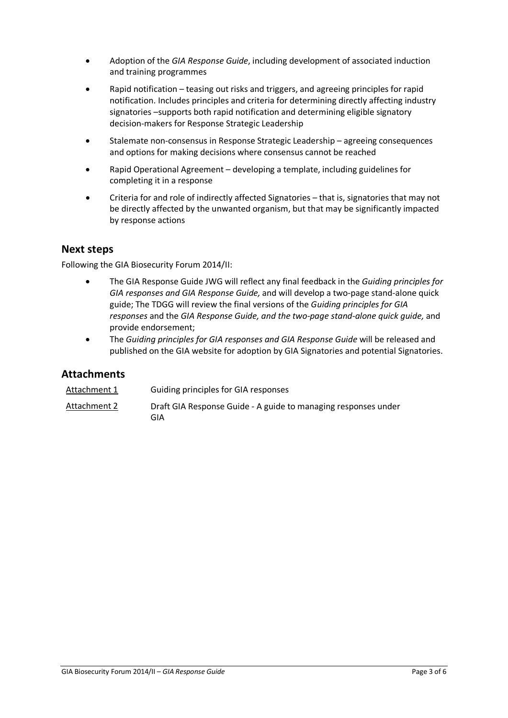- Adoption of the *GIA Response Guide*, including development of associated induction and training programmes
- Rapid notification teasing out risks and triggers, and agreeing principles for rapid notification. Includes principles and criteria for determining directly affecting industry signatories –supports both rapid notification and determining eligible signatory decision-makers for Response Strategic Leadership
- Stalemate non-consensus in Response Strategic Leadership agreeing consequences and options for making decisions where consensus cannot be reached
- Rapid Operational Agreement developing a template, including guidelines for completing it in a response
- Criteria for and role of indirectly affected Signatories that is, signatories that may not be directly affected by the unwanted organism, but that may be significantly impacted by response actions

### **Next steps**

Following the GIA Biosecurity Forum 2014/II:

- The GIA Response Guide JWG will reflect any final feedback in the *Guiding principles for GIA responses and GIA Response Guide,* and will develop a two-page stand-alone quick guide; The TDGG will review the final versions of the *Guiding principles for GIA responses* and the *GIA Response Guide, and the two-page stand-alone quick guide,* and provide endorsement;
- The *Guiding principles for GIA responses and GIA Response Guide* will be released and published on the GIA website for adoption by GIA Signatories and potential Signatories.

#### **Attachments**

| Attachment 1 | Guiding principles for GIA responses                                  |
|--------------|-----------------------------------------------------------------------|
| Attachment 2 | Draft GIA Response Guide - A guide to managing responses under<br>GIA |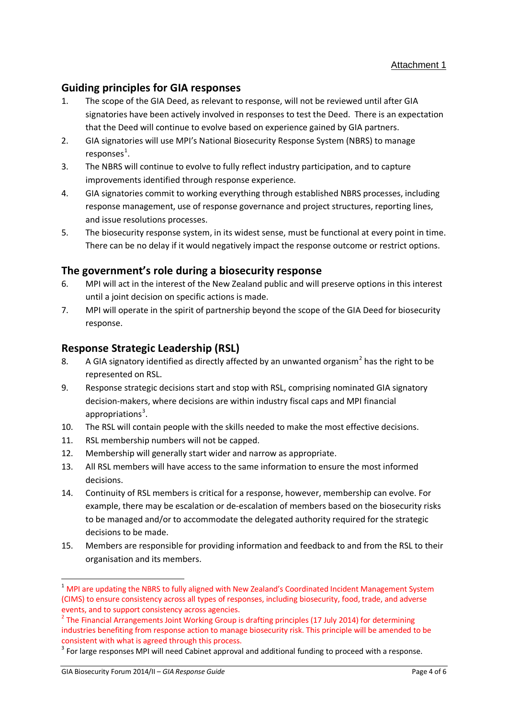### **Guiding principles for GIA responses**

- 1. The scope of the GIA Deed, as relevant to response, will not be reviewed until after GIA signatories have been actively involved in responses to test the Deed. There is an expectation that the Deed will continue to evolve based on experience gained by GIA partners.
- 2. GIA signatories will use MPI's National Biosecurity Response System (NBRS) to manage  $responents<sup>1</sup>$  $responents<sup>1</sup>$  $responents<sup>1</sup>$ .
- 3. The NBRS will continue to evolve to fully reflect industry participation, and to capture improvements identified through response experience.
- 4. GIA signatories commit to working everything through established NBRS processes, including response management, use of response governance and project structures, reporting lines, and issue resolutions processes.
- 5. The biosecurity response system, in its widest sense, must be functional at every point in time. There can be no delay if it would negatively impact the response outcome or restrict options.

### **The government's role during a biosecurity response**

- 6. MPI will act in the interest of the New Zealand public and will preserve options in this interest until a joint decision on specific actions is made.
- 7. MPI will operate in the spirit of partnership beyond the scope of the GIA Deed for biosecurity response.

### **Response Strategic Leadership (RSL)**

- 8. A GIA signatory identified as directly affected by an unwanted organism<sup>[2](#page-3-1)</sup> has the right to be represented on RSL.
- 9. Response strategic decisions start and stop with RSL, comprising nominated GIA signatory decision-makers, where decisions are within industry fiscal caps and MPI financial appropriations<sup>[3](#page-3-2)</sup>.
- 10. The RSL will contain people with the skills needed to make the most effective decisions.
- 11. RSL membership numbers will not be capped.
- 12. Membership will generally start wider and narrow as appropriate.
- 13. All RSL members will have access to the same information to ensure the most informed decisions.
- 14. Continuity of RSL members is critical for a response, however, membership can evolve. For example, there may be escalation or de-escalation of members based on the biosecurity risks to be managed and/or to accommodate the delegated authority required for the strategic decisions to be made.
- 15. Members are responsible for providing information and feedback to and from the RSL to their organisation and its members.

**.** 

<span id="page-3-0"></span><sup>&</sup>lt;sup>1</sup> MPI are updating the NBRS to fully aligned with New Zealand's Coordinated Incident Management System (CIMS) to ensure consistency across all types of responses, including biosecurity, food, trade, and adverse events, and to support consistency across agencies.

<span id="page-3-1"></span><sup>&</sup>lt;sup>2</sup> The Financial Arrangements Joint Working Group is drafting principles (17 July 2014) for determining industries benefiting from response action to manage biosecurity risk. This principle will be amended to be consistent with what is agreed through this process.

<span id="page-3-2"></span><sup>&</sup>lt;sup>3</sup> For large responses MPI will need Cabinet approval and additional funding to proceed with a response.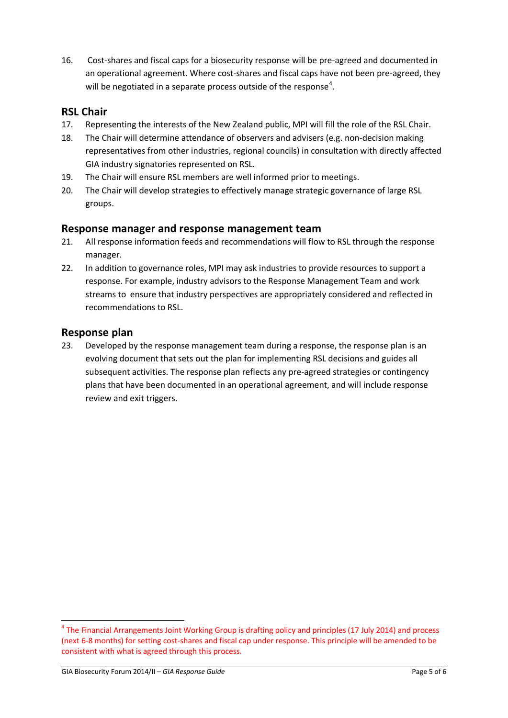16. Cost-shares and fiscal caps for a biosecurity response will be pre-agreed and documented in an operational agreement. Where cost-shares and fiscal caps have not been pre-agreed, they will be negotiated in a separate process outside of the response<sup>[4](#page-4-0)</sup>.

### **RSL Chair**

- 17. Representing the interests of the New Zealand public, MPI will fill the role of the RSL Chair.
- 18. The Chair will determine attendance of observers and advisers (e.g. non-decision making representatives from other industries, regional councils) in consultation with directly affected GIA industry signatories represented on RSL.
- 19. The Chair will ensure RSL members are well informed prior to meetings.
- 20. The Chair will develop strategies to effectively manage strategic governance of large RSL groups.

### **Response manager and response management team**

- 21. All response information feeds and recommendations will flow to RSL through the response manager.
- 22. In addition to governance roles, MPI may ask industries to provide resources to support a response. For example, industry advisors to the Response Management Team and work streams to ensure that industry perspectives are appropriately considered and reflected in recommendations to RSL.

### **Response plan**

23. Developed by the response management team during a response, the response plan is an evolving document that sets out the plan for implementing RSL decisions and guides all subsequent activities. The response plan reflects any pre-agreed strategies or contingency plans that have been documented in an operational agreement, and will include response review and exit triggers.

**.** 

<span id="page-4-0"></span><sup>&</sup>lt;sup>4</sup> The Financial Arrangements Joint Working Group is drafting policy and principles (17 July 2014) and process (next 6-8 months) for setting cost-shares and fiscal cap under response. This principle will be amended to be consistent with what is agreed through this process.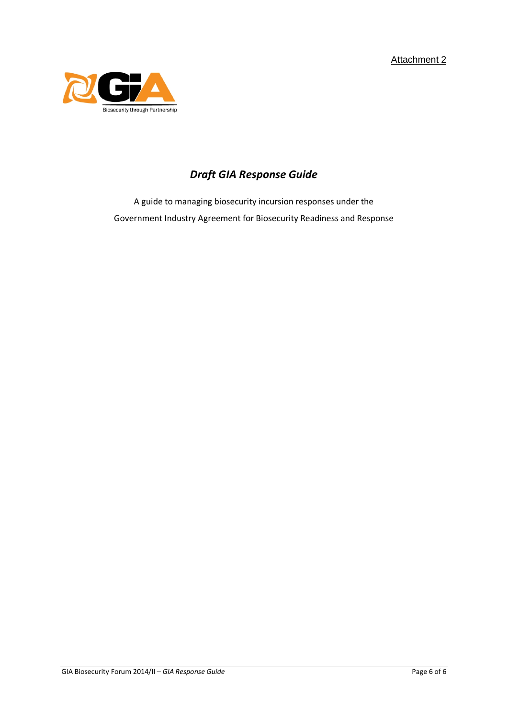

# *Draft GIA Response Guide*

A guide to managing biosecurity incursion responses under the Government Industry Agreement for Biosecurity Readiness and Response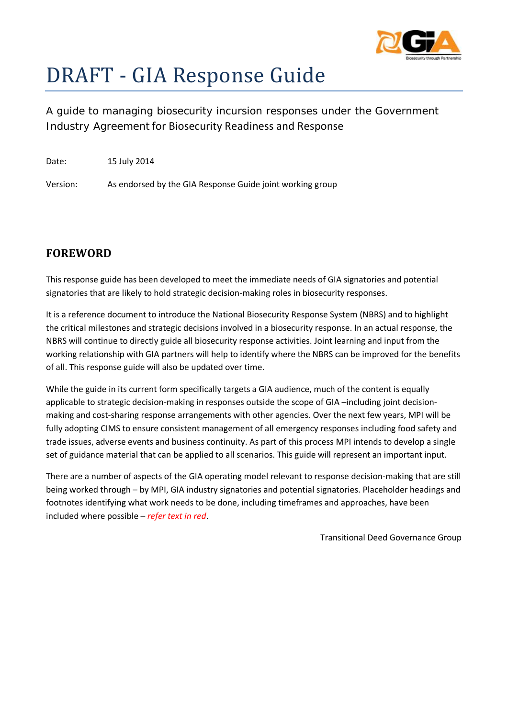

# DRAFT - GIA Response Guide

A guide to managing biosecurity incursion responses under the Government Industry Agreement for Biosecurity Readiness and Response

Date: 15 July 2014

Version: As endorsed by the GIA Response Guide joint working group

### **FOREWORD**

This response guide has been developed to meet the immediate needs of GIA signatories and potential signatories that are likely to hold strategic decision-making roles in biosecurity responses.

It is a reference document to introduce the National Biosecurity Response System (NBRS) and to highlight the critical milestones and strategic decisions involved in a biosecurity response. In an actual response, the NBRS will continue to directly guide all biosecurity response activities. Joint learning and input from the working relationship with GIA partners will help to identify where the NBRS can be improved for the benefits of all. This response guide will also be updated over time.

While the guide in its current form specifically targets a GIA audience, much of the content is equally applicable to strategic decision-making in responses outside the scope of GIA –including joint decisionmaking and cost-sharing response arrangements with other agencies. Over the next few years, MPI will be fully adopting CIMS to ensure consistent management of all emergency responses including food safety and trade issues, adverse events and business continuity. As part of this process MPI intends to develop a single set of guidance material that can be applied to all scenarios. This guide will represent an important input.

There are a number of aspects of the GIA operating model relevant to response decision-making that are still being worked through – by MPI, GIA industry signatories and potential signatories. Placeholder headings and footnotes identifying what work needs to be done, including timeframes and approaches, have been included where possible – *refer text in red*.

Transitional Deed Governance Group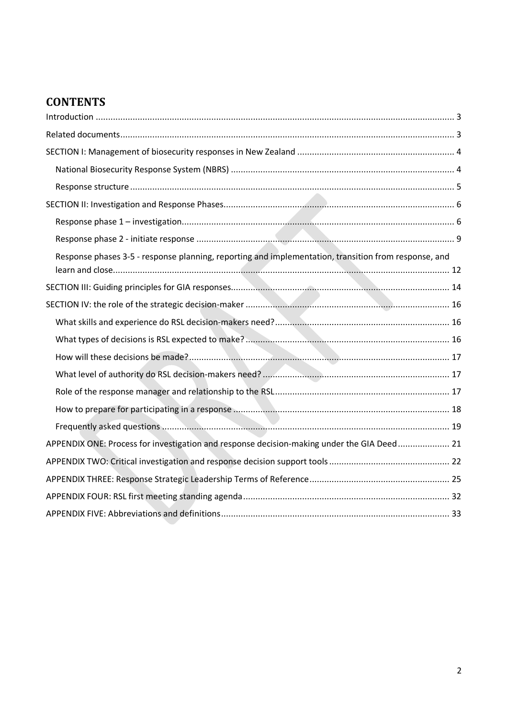# **CONTENTS**

| Response phases 3-5 - response planning, reporting and implementation, transition from response, and |  |
|------------------------------------------------------------------------------------------------------|--|
|                                                                                                      |  |
|                                                                                                      |  |
|                                                                                                      |  |
|                                                                                                      |  |
|                                                                                                      |  |
|                                                                                                      |  |
|                                                                                                      |  |
|                                                                                                      |  |
|                                                                                                      |  |
| APPENDIX ONE: Process for investigation and response decision-making under the GIA Deed 21           |  |
|                                                                                                      |  |
|                                                                                                      |  |
|                                                                                                      |  |
|                                                                                                      |  |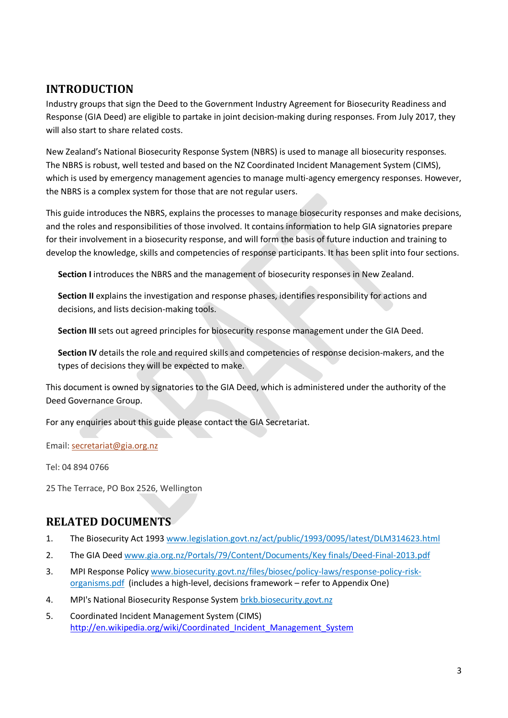### <span id="page-8-0"></span>**INTRODUCTION**

Industry groups that sign the Deed to the Government Industry Agreement for Biosecurity Readiness and Response (GIA Deed) are eligible to partake in joint decision-making during responses. From July 2017, they will also start to share related costs.

New Zealand's National Biosecurity Response System (NBRS) is used to manage all biosecurity responses. The NBRS is robust, well tested and based on the NZ Coordinated Incident Management System (CIMS), which is used by emergency management agencies to manage multi-agency emergency responses. However, the NBRS is a complex system for those that are not regular users.

This guide introduces the NBRS, explains the processes to manage biosecurity responses and make decisions, and the roles and responsibilities of those involved. It contains information to help GIA signatories prepare for their involvement in a biosecurity response, and will form the basis of future induction and training to develop the knowledge, skills and competencies of response participants. It has been split into four sections.

**Section I** introduces the NBRS and the management of biosecurity responses in New Zealand.

**Section II** explains the investigation and response phases, identifies responsibility for actions and decisions, and lists decision-making tools.

**Section III** sets out agreed principles for biosecurity response management under the GIA Deed.

**Section IV** details the role and required skills and competencies of response decision-makers, and the types of decisions they will be expected to make.

This document is owned by signatories to the GIA Deed, which is administered under the authority of the Deed Governance Group.

For any enquiries about this guide please contact the GIA Secretariat.

Email: [secretariat@gia.org.nz](mailto:secretariat@gia.org.nz)

Tel: 04 894 0766

25 The Terrace, PO Box 2526, Wellington

### <span id="page-8-1"></span>**RELATED DOCUMENTS**

- 1. The Biosecurity Act 1993 [www.legislation.govt.nz/act/public/1993/0095/latest/DLM314623.html](http://www.legislation.govt.nz/act/public/1993/0095/latest/DLM314623.html)
- 2. The GIA Deed [www.gia.org.nz/Portals/79/Content/Documents/Key finals/Deed-Final-2013.pdf](http://www.gia.org.nz/Portals/79/Content/Documents/Key%20finals/Deed-Final-2013.pdf?timestamp=1390985494278)
- 3. MPI Response Polic[y www.biosecurity.govt.nz/files/biosec/policy-laws/response-policy-risk](http://www.biosecurity.govt.nz/files/biosec/policy-laws/response-policy-risk-organisms.pdf)[organisms.pdf](http://www.biosecurity.govt.nz/files/biosec/policy-laws/response-policy-risk-organisms.pdf) (includes a high-level, decisions framework – refer to Appendix One)
- 4. MPI's National Biosecurity Response System [brkb.biosecurity.govt.nz](http://brkb.biosecurity.govt.nz/)
- 5. Coordinated Incident Management System (CIMS) http://en.wikipedia.org/wiki/Coordinated Incident Management System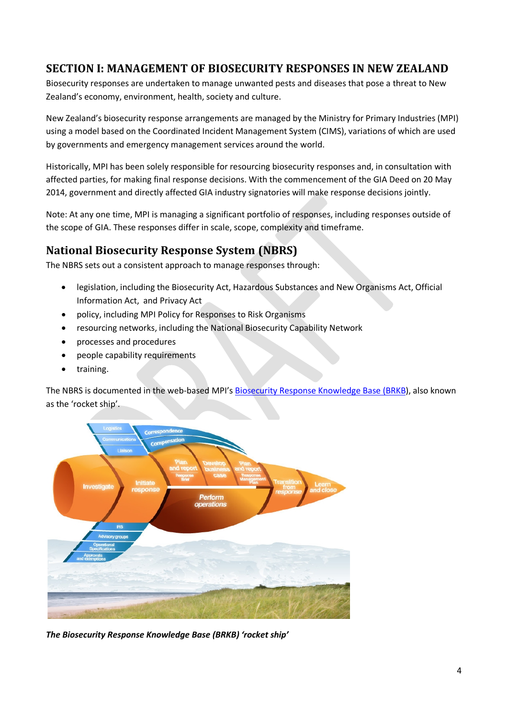### <span id="page-9-0"></span>**SECTION I: MANAGEMENT OF BIOSECURITY RESPONSES IN NEW ZEALAND**

Biosecurity responses are undertaken to manage unwanted pests and diseases that pose a threat to New Zealand's economy, environment, health, society and culture.

New Zealand's biosecurity response arrangements are managed by the Ministry for Primary Industries (MPI) using a model based on the Coordinated Incident Management System (CIMS), variations of which are used by governments and emergency management services around the world.

Historically, MPI has been solely responsible for resourcing biosecurity responses and, in consultation with affected parties, for making final response decisions. With the commencement of the GIA Deed on 20 May 2014, government and directly affected GIA industry signatories will make response decisions jointly.

Note: At any one time, MPI is managing a significant portfolio of responses, including responses outside of the scope of GIA. These responses differ in scale, scope, complexity and timeframe.

### <span id="page-9-1"></span>**National Biosecurity Response System (NBRS)**

The NBRS sets out a consistent approach to manage responses through:

- legislation, including the Biosecurity Act, Hazardous Substances and New Organisms Act, Official Information Act, and Privacy Act
- policy, including MPI Policy for Responses to Risk Organisms
- resourcing networks, including the National Biosecurity Capability Network
- processes and procedures
- people capability requirements
- training.

The NBRS is documented in the web-based MPI'[s Biosecurity Response Knowledge Base \(BRKB\)](http://brkb.biosecurity.govt.nz/Portals/1/BRKB/Forms-templates/response-close-out-report-template.dot), also known as the 'rocket ship'.



*The Biosecurity Response Knowledge Base (BRKB) 'rocket ship'*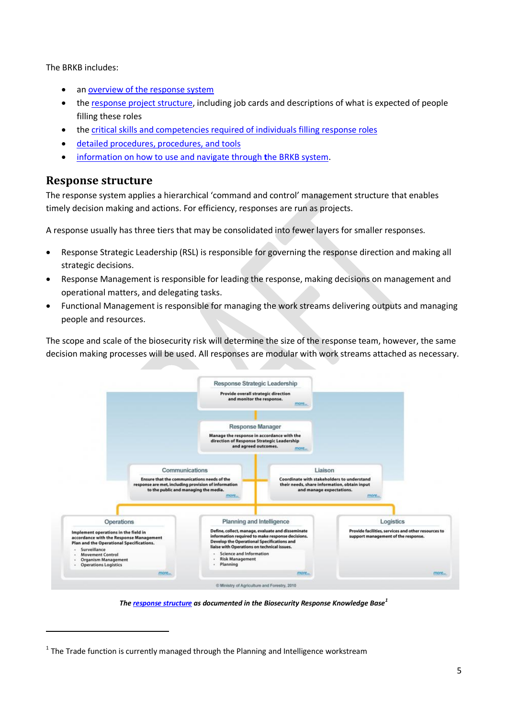The BRKB includes:

- an overview of the response system
- the [response project structure,](http://brkb.biosecurity.govt.nz/response-system/response-structure-and-workstreams) including job cards and descriptions of what is expected of people filling these roles
- the [critical skills and competencies required of individuals filling response roles](http://brkb.biosecurity.govt.nz/people-capability)
- [detailed procedures, procedures, and tools](http://brkb.biosecurity.govt.nz/processes-and-procedures/manage-response)
- [information on how to use and navigate through](http://brkb.biosecurity.govt.nz/using-the-knowledge-base/introduction) **t**he BRKB system[.](http://brkb.biosecurity.govt.nz/using-the-knowledge-base/introduction)

### <span id="page-10-0"></span>**Response structure**

 $\overline{a}$ 

The response system applies a hierarchical 'command and control' management structure that enables timely decision making and actions. For efficiency, responses are run as projects.

A response usually has three tiers that may be consolidated into fewer layers for smaller responses.

- Response Strategic Leadership (RSL) is responsible for governing the response direction and making all strategic decisions.
- Response Management is responsible for leading the response, making decisions on management and operational matters, and delegating tasks.
- Functional Management is responsible for managing the work streams delivering outputs and managing people and resources.

The scope and scale of the biosecurity risk will determine the size of the response team, however, the same decision making processes will be used. All responses are modular with work streams attached as necessary.



*The [response](http://brkb.biosecurity.govt.nz/response-system/response-structure-and-workstreams) structure as documented in the Biosecurity Response Knowledge Base[1](#page-10-1)*

<span id="page-10-1"></span> $1$  The Trade function is currently managed through the Planning and Intelligence workstream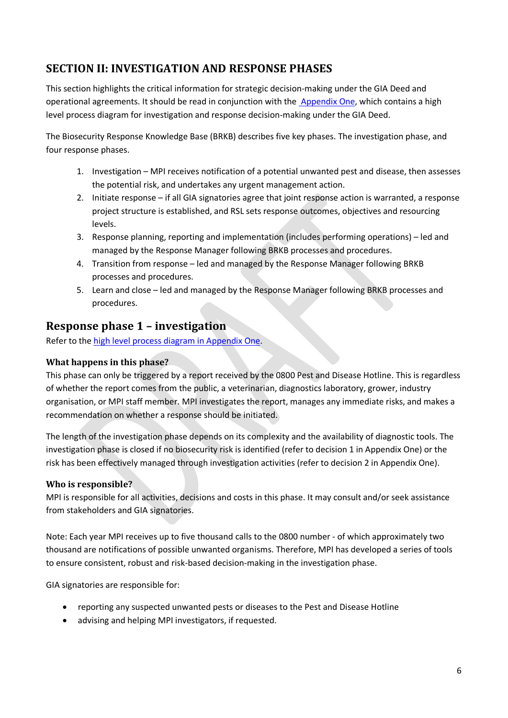# <span id="page-11-0"></span>**SECTION II: INVESTIGATION AND RESPONSE PHASES**

This section highlights the critical information for strategic decision-making under the GIA Deed and operational agreements. It should be read in conjunction with the [Appendix One,](#page-26-0) which contains a high level process diagram for investigation and response decision-making under the GIA Deed.

The Biosecurity Response Knowledge Base (BRKB) describes five key phases. The investigation phase, and four response phases.

- 1. Investigation MPI receives notification of a potential unwanted pest and disease, then assesses the potential risk, and undertakes any urgent management action.
- 2. Initiate response if all GIA signatories agree that joint response action is warranted, a response project structure is established, and RSL sets response outcomes, objectives and resourcing levels.
- 3. Response planning, reporting and implementation (includes performing operations) led and managed by the Response Manager following BRKB processes and procedures.
- 4. Transition from response led and managed by the Response Manager following BRKB processes and procedures.
- 5. Learn and close led and managed by the Response Manager following BRKB processes and procedures.

### <span id="page-11-1"></span>**Response phase 1 – investigation**

Refer to the [high level process diagram in Appendix One.](#page-26-0)

### **What happens in this phase?**

This phase can only be triggered by a report received by the 0800 Pest and Disease Hotline. This is regardless of whether the report comes from the public, a veterinarian, diagnostics laboratory, grower, industry organisation, or MPI staff member. MPI investigates the report, manages any immediate risks, and makes a recommendation on whether a response should be initiated.

The length of the investigation phase depends on its complexity and the availability of diagnostic tools. The investigation phase is closed if no biosecurity risk is identified (refer to decision 1 in Appendix One) or the risk has been effectively managed through investigation activities (refer to decision 2 in Appendix One).

#### **Who is responsible?**

MPI is responsible for all activities, decisions and costs in this phase. It may consult and/or seek assistance from stakeholders and GIA signatories.

Note: Each year MPI receives up to five thousand calls to the 0800 number - of which approximately two thousand are notifications of possible unwanted organisms. Therefore, MPI has developed a series of tools to ensure consistent, robust and risk-based decision-making in the investigation phase.

GIA signatories are responsible for:

- reporting any suspected unwanted pests or diseases to the Pest and Disease Hotline
- advising and helping MPI investigators, if requested.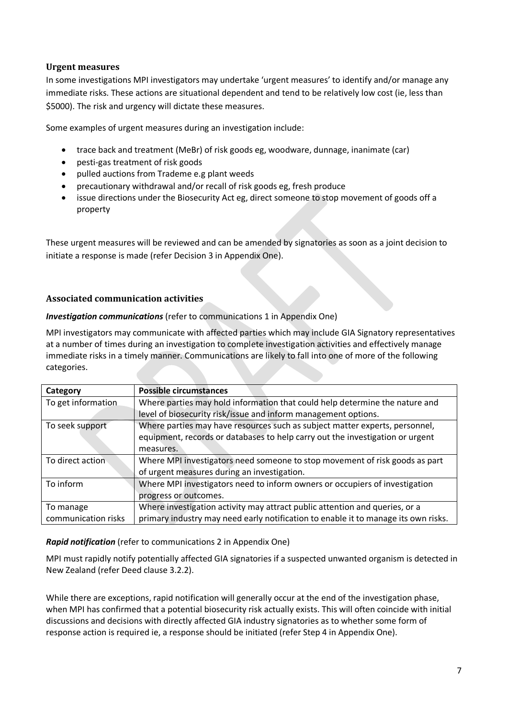#### **Urgent measures**

In some investigations MPI investigators may undertake 'urgent measures' to identify and/or manage any immediate risks. These actions are situational dependent and tend to be relatively low cost (ie, less than \$5000). The risk and urgency will dictate these measures.

Some examples of urgent measures during an investigation include:

- trace back and treatment (MeBr) of risk goods eg, woodware, dunnage, inanimate (car)
- pesti-gas treatment of risk goods
- pulled auctions from Trademe e.g plant weeds
- precautionary withdrawal and/or recall of risk goods eg, fresh produce
- issue directions under the Biosecurity Act eg, direct someone to stop movement of goods off a property

These urgent measures will be reviewed and can be amended by signatories as soon as a joint decision to initiate a response is made (refer Decision 3 in Appendix One).

#### **Associated communication activities**

#### *Investigation communications* (refer to communications 1 in Appendix One)

MPI investigators may communicate with affected parties which may include GIA Signatory representatives at a number of times during an investigation to complete investigation activities and effectively manage immediate risks in a timely manner. Communications are likely to fall into one of more of the following categories.

| Category            | <b>Possible circumstances</b>                                                      |
|---------------------|------------------------------------------------------------------------------------|
| To get information  | Where parties may hold information that could help determine the nature and        |
|                     | level of biosecurity risk/issue and inform management options.                     |
| To seek support     | Where parties may have resources such as subject matter experts, personnel,        |
|                     | equipment, records or databases to help carry out the investigation or urgent      |
|                     | measures.                                                                          |
| To direct action    | Where MPI investigators need someone to stop movement of risk goods as part        |
|                     | of urgent measures during an investigation.                                        |
| To inform           | Where MPI investigators need to inform owners or occupiers of investigation        |
|                     | progress or outcomes.                                                              |
| To manage           | Where investigation activity may attract public attention and queries, or a        |
| communication risks | primary industry may need early notification to enable it to manage its own risks. |

#### *Rapid notification* (refer to communications 2 in Appendix One)

MPI must rapidly notify potentially affected GIA signatories if a suspected unwanted organism is detected in New Zealand (refer Deed clause 3.2.2).

While there are exceptions, rapid notification will generally occur at the end of the investigation phase, when MPI has confirmed that a potential biosecurity risk actually exists. This will often coincide with initial discussions and decisions with directly affected GIA industry signatories as to whether some form of response action is required ie, a response should be initiated (refer Step 4 in Appendix One).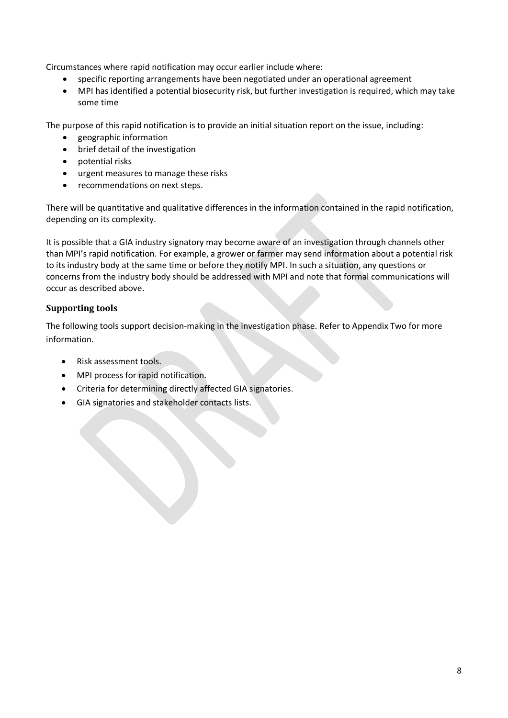Circumstances where rapid notification may occur earlier include where:

- specific reporting arrangements have been negotiated under an operational agreement
- MPI has identified a potential biosecurity risk, but further investigation is required, which may take some time

The purpose of this rapid notification is to provide an initial situation report on the issue, including:

- geographic information
- brief detail of the investigation
- potential risks
- urgent measures to manage these risks
- recommendations on next steps.

There will be quantitative and qualitative differences in the information contained in the rapid notification, depending on its complexity.

It is possible that a GIA industry signatory may become aware of an investigation through channels other than MPI's rapid notification. For example, a grower or farmer may send information about a potential risk to its industry body at the same time or before they notify MPI. In such a situation, any questions or concerns from the industry body should be addressed with MPI and note that formal communications will occur as described above.

#### **Supporting tools**

The following tools support decision-making in the investigation phase. Refer to Appendix Two for more information.

- Risk assessment tools.
- MPI process for rapid notification.
- Criteria for determining directly affected GIA signatories.
- GIA signatories and stakeholder contacts lists.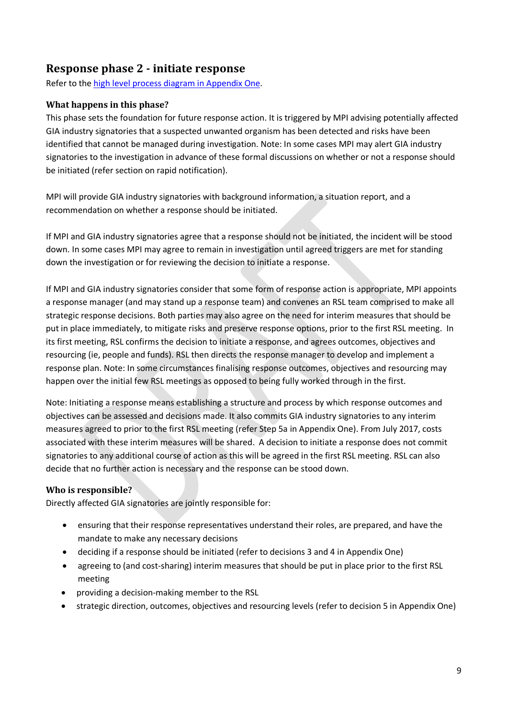### <span id="page-14-0"></span>**Response phase 2 - initiate response**

Refer to the [high level process diagram in Appendix One.](#page-26-0)

#### **What happens in this phase?**

This phase sets the foundation for future response action. It is triggered by MPI advising potentially affected GIA industry signatories that a suspected unwanted organism has been detected and risks have been identified that cannot be managed during investigation. Note: In some cases MPI may alert GIA industry signatories to the investigation in advance of these formal discussions on whether or not a response should be initiated (refer section on rapid notification).

MPI will provide GIA industry signatories with background information, a situation report, and a recommendation on whether a response should be initiated.

If MPI and GIA industry signatories agree that a response should not be initiated, the incident will be stood down. In some cases MPI may agree to remain in investigation until agreed triggers are met for standing down the investigation or for reviewing the decision to initiate a response.

If MPI and GIA industry signatories consider that some form of response action is appropriate, MPI appoints a response manager (and may stand up a response team) and convenes an RSL team comprised to make all strategic response decisions. Both parties may also agree on the need for interim measures that should be put in place immediately, to mitigate risks and preserve response options, prior to the first RSL meeting. In its first meeting, RSL confirms the decision to initiate a response, and agrees outcomes, objectives and resourcing (ie, people and funds). RSL then directs the response manager to develop and implement a response plan. Note: In some circumstances finalising response outcomes, objectives and resourcing may happen over the initial few RSL meetings as opposed to being fully worked through in the first.

Note: Initiating a response means establishing a structure and process by which response outcomes and objectives can be assessed and decisions made. It also commits GIA industry signatories to any interim measures agreed to prior to the first RSL meeting (refer Step 5a in Appendix One). From July 2017, costs associated with these interim measures will be shared. A decision to initiate a response does not commit signatories to any additional course of action as this will be agreed in the first RSL meeting. RSL can also decide that no further action is necessary and the response can be stood down.

#### **Who is responsible?**

Directly affected GIA signatories are jointly responsible for:

- ensuring that their response representatives understand their roles, are prepared, and have the mandate to make any necessary decisions
- deciding if a response should be initiated (refer to decisions 3 and 4 in Appendix One)
- agreeing to (and cost-sharing) interim measures that should be put in place prior to the first RSL meeting
- providing a decision-making member to the RSL
- strategic direction, outcomes, objectives and resourcing levels (refer to decision 5 in Appendix One)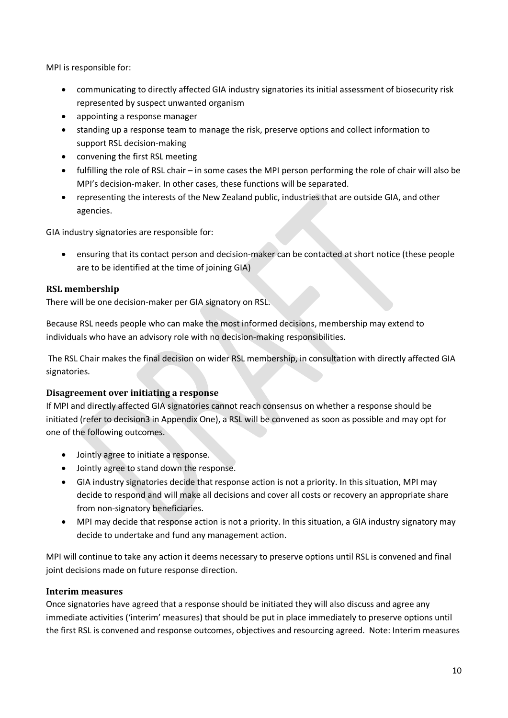MPI is responsible for:

- communicating to directly affected GIA industry signatories its initial assessment of biosecurity risk represented by suspect unwanted organism
- appointing a response manager
- standing up a response team to manage the risk, preserve options and collect information to support RSL decision-making
- convening the first RSL meeting
- fulfilling the role of RSL chair in some cases the MPI person performing the role of chair will also be MPI's decision-maker. In other cases, these functions will be separated.
- representing the interests of the New Zealand public, industries that are outside GIA, and other agencies.

GIA industry signatories are responsible for:

• ensuring that its contact person and decision-maker can be contacted at short notice (these people are to be identified at the time of joining GIA)

#### **RSL membership**

There will be one decision-maker per GIA signatory on RSL.

Because RSL needs people who can make the most informed decisions, membership may extend to individuals who have an advisory role with no decision-making responsibilities.

The RSL Chair makes the final decision on wider RSL membership, in consultation with directly affected GIA signatories.

#### **Disagreement over initiating a response**

If MPI and directly affected GIA signatories cannot reach consensus on whether a response should be initiated (refer to decision3 in Appendix One), a RSL will be convened as soon as possible and may opt for one of the following outcomes.

- Jointly agree to initiate a response.
- Jointly agree to stand down the response.
- GIA industry signatories decide that response action is not a priority. In this situation, MPI may decide to respond and will make all decisions and cover all costs or recovery an appropriate share from non-signatory beneficiaries.
- MPI may decide that response action is not a priority. In this situation, a GIA industry signatory may decide to undertake and fund any management action.

MPI will continue to take any action it deems necessary to preserve options until RSL is convened and final joint decisions made on future response direction.

#### **Interim measures**

Once signatories have agreed that a response should be initiated they will also discuss and agree any immediate activities ('interim' measures) that should be put in place immediately to preserve options until the first RSL is convened and response outcomes, objectives and resourcing agreed. Note: Interim measures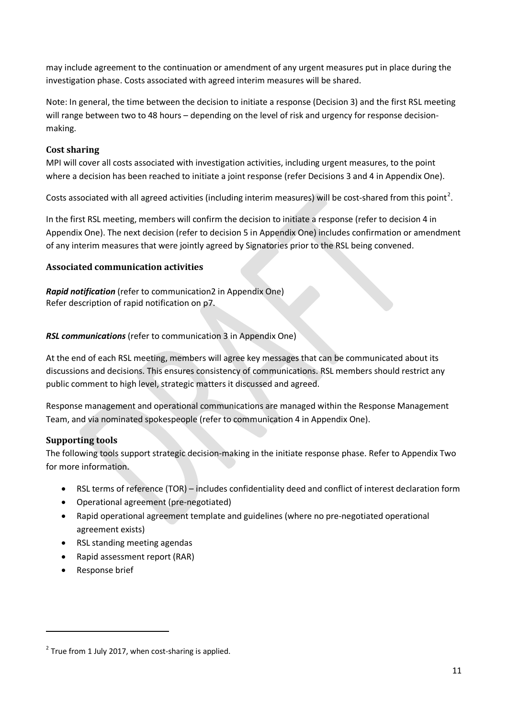may include agreement to the continuation or amendment of any urgent measures put in place during the investigation phase. Costs associated with agreed interim measures will be shared.

Note: In general, the time between the decision to initiate a response (Decision 3) and the first RSL meeting will range between two to 48 hours – depending on the level of risk and urgency for response decisionmaking.

#### **Cost sharing**

MPI will cover all costs associated with investigation activities, including urgent measures, to the point where a decision has been reached to initiate a joint response (refer Decisions 3 and 4 in Appendix One).

Costs associated with all agreed activities (including interim measures) will be cost-shared from this point<sup>[2](#page-16-0)</sup>.

In the first RSL meeting, members will confirm the decision to initiate a response (refer to decision 4 in Appendix One). The next decision (refer to decision 5 in Appendix One) includes confirmation or amendment of any interim measures that were jointly agreed by Signatories prior to the RSL being convened.

#### **Associated communication activities**

*Rapid notification* (refer to communication2 in Appendix One) Refer description of rapid notification on p7.

#### *RSL communications* (refer to communication 3 in Appendix One)

At the end of each RSL meeting, members will agree key messages that can be communicated about its discussions and decisions. This ensures consistency of communications. RSL members should restrict any public comment to high level, strategic matters it discussed and agreed.

Response management and operational communications are managed within the Response Management Team, and via nominated spokespeople (refer to communication 4 in Appendix One).

### **Supporting tools**

The following tools support strategic decision-making in the initiate response phase. Refer to Appendix Two for more information.

- RSL terms of reference (TOR) includes confidentiality deed and conflict of interest declaration form
- Operational agreement (pre-negotiated)
- Rapid operational agreement template and guidelines (where no pre-negotiated operational agreement exists)
- RSL standing meeting agendas
- Rapid assessment report (RAR)
- Response brief

 $\overline{a}$ 

<span id="page-16-0"></span> $2$  True from 1 July 2017, when cost-sharing is applied.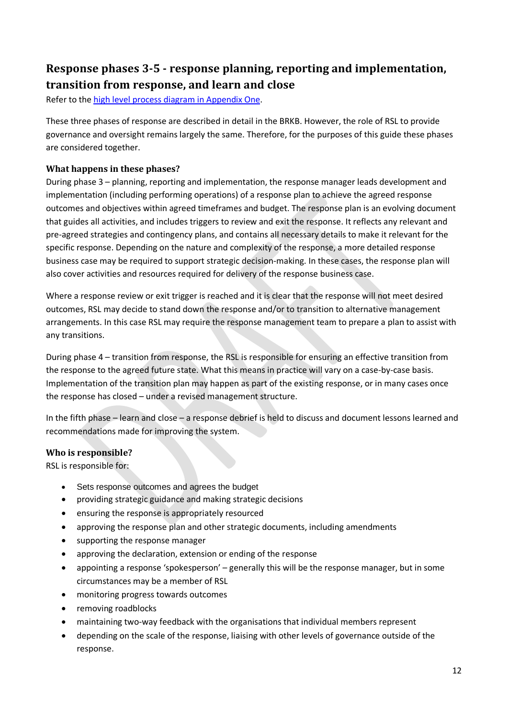# <span id="page-17-0"></span>**Response phases 3-5 - response planning, reporting and implementation, transition from response, and learn and close**

Refer to the [high level process diagram in Appendix One.](#page-26-0)

These three phases of response are described in detail in the BRKB. However, the role of RSL to provide governance and oversight remains largely the same. Therefore, for the purposes of this guide these phases are considered together.

#### **What happens in these phases?**

During phase 3 – planning, reporting and implementation, the response manager leads development and implementation (including performing operations) of a response plan to achieve the agreed response outcomes and objectives within agreed timeframes and budget. The response plan is an evolving document that guides all activities, and includes triggers to review and exit the response. It reflects any relevant and pre-agreed strategies and contingency plans, and contains all necessary details to make it relevant for the specific response. Depending on the nature and complexity of the response, a more detailed response business case may be required to support strategic decision-making. In these cases, the response plan will also cover activities and resources required for delivery of the response business case.

Where a response review or exit trigger is reached and it is clear that the response will not meet desired outcomes, RSL may decide to stand down the response and/or to transition to alternative management arrangements. In this case RSL may require the response management team to prepare a plan to assist with any transitions.

During phase 4 – transition from response, the RSL is responsible for ensuring an effective transition from the response to the agreed future state. What this means in practice will vary on a case-by-case basis. Implementation of the transition plan may happen as part of the existing response, or in many cases once the response has closed – under a revised management structure.

In the fifth phase – learn and close – a response debrief is held to discuss and document lessons learned and recommendations made for improving the system.

### **Who is responsible?**

RSL is responsible for:

- Sets response outcomes and agrees the budget
- providing strategic guidance and making strategic decisions
- ensuring the response is appropriately resourced
- approving the response plan and other strategic documents, including amendments
- supporting the response manager
- approving the declaration, extension or ending of the response
- appointing a response 'spokesperson' generally this will be the response manager, but in some circumstances may be a member of RSL
- monitoring progress towards outcomes
- removing roadblocks
- maintaining two-way feedback with the organisations that individual members represent
- depending on the scale of the response, liaising with other levels of governance outside of the response.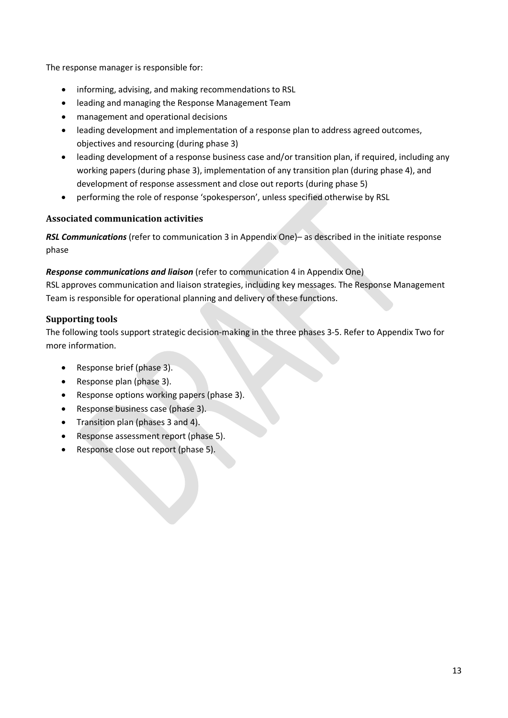The response manager is responsible for:

- informing, advising, and making recommendations to RSL
- leading and managing the Response Management Team
- management and operational decisions
- leading development and implementation of a response plan to address agreed outcomes, objectives and resourcing (during phase 3)
- leading development of a response business case and/or transition plan, if required, including any working papers (during phase 3), implementation of any transition plan (during phase 4), and development of response assessment and close out reports (during phase 5)
- performing the role of response 'spokesperson', unless specified otherwise by RSL

#### **Associated communication activities**

*RSL Communications* (refer to communication 3 in Appendix One)– as described in the initiate response phase

#### *Response communications and liaison* (refer to communication 4 in Appendix One)

RSL approves communication and liaison strategies, including key messages. The Response Management Team is responsible for operational planning and delivery of these functions.

#### **Supporting tools**

The following tools support strategic decision-making in the three phases 3-5. Refer to Appendix Two for more information.

- Response brief (phase 3).
- Response plan (phase 3).
- Response options working papers (phase 3).
- Response business case (phase 3).
- Transition plan (phases 3 and 4).
- Response assessment report (phase 5).
- Response close out report (phase 5).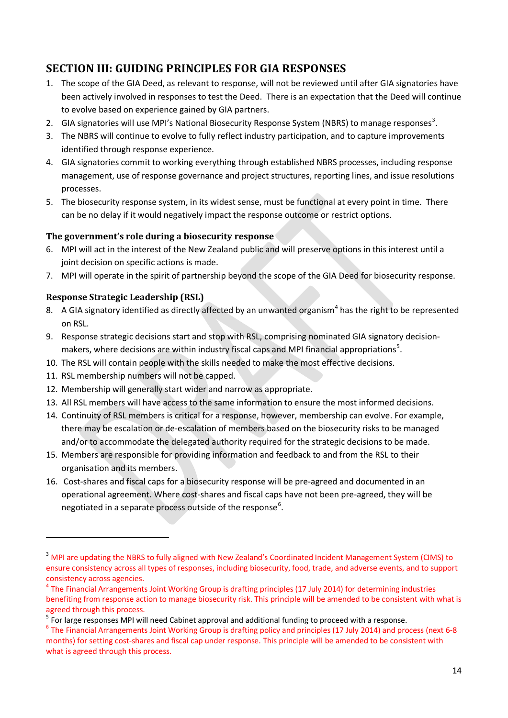# <span id="page-19-0"></span>**SECTION III: GUIDING PRINCIPLES FOR GIA RESPONSES**

- 1. The scope of the GIA Deed, as relevant to response, will not be reviewed until after GIA signatories have been actively involved in responses to test the Deed. There is an expectation that the Deed will continue to evolve based on experience gained by GIA partners.
- 2. GIA signatories will use MPI's National Biosecurity Response System (NBRS) to manage responses<sup>[3](#page-19-1)</sup>.
- 3. The NBRS will continue to evolve to fully reflect industry participation, and to capture improvements identified through response experience.
- 4. GIA signatories commit to working everything through established NBRS processes, including response management, use of response governance and project structures, reporting lines, and issue resolutions processes.
- 5. The biosecurity response system, in its widest sense, must be functional at every point in time. There can be no delay if it would negatively impact the response outcome or restrict options.

#### **The government's role during a biosecurity response**

- 6. MPI will act in the interest of the New Zealand public and will preserve options in this interest until a joint decision on specific actions is made.
- 7. MPI will operate in the spirit of partnership beyond the scope of the GIA Deed for biosecurity response.

#### **Response Strategic Leadership (RSL)**

- 8. A GIA signatory identified as directly affected by an unwanted organism<sup>[4](#page-19-2)</sup> has the right to be represented on RSL.
- 9. Response strategic decisions start and stop with RSL, comprising nominated GIA signatory decision-makers, where decisions are within industry fiscal caps and MPI financial appropriations<sup>[5](#page-19-3)</sup>.
- 10. The RSL will contain people with the skills needed to make the most effective decisions.
- 11. RSL membership numbers will not be capped.

 $\overline{a}$ 

- 12. Membership will generally start wider and narrow as appropriate.
- 13. All RSL members will have access to the same information to ensure the most informed decisions.
- 14. Continuity of RSL members is critical for a response, however, membership can evolve. For example, there may be escalation or de-escalation of members based on the biosecurity risks to be managed and/or to accommodate the delegated authority required for the strategic decisions to be made.
- 15. Members are responsible for providing information and feedback to and from the RSL to their organisation and its members.
- 16. Cost-shares and fiscal caps for a biosecurity response will be pre-agreed and documented in an operational agreement. Where cost-shares and fiscal caps have not been pre-agreed, they will be negotiated in a separate process outside of the response<sup>[6](#page-19-4)</sup>.

<span id="page-19-4"></span><sup>6</sup> The Financial Arrangements Joint Working Group is drafting policy and principles (17 July 2014) and process (next 6-8 months) for setting cost-shares and fiscal cap under response. This principle will be amended to be consistent with what is agreed through this process.

<span id="page-19-1"></span><sup>&</sup>lt;sup>3</sup> MPI are updating the NBRS to fully aligned with New Zealand's Coordinated Incident Management System (CIMS) to ensure consistency across all types of responses, including biosecurity, food, trade, and adverse events, and to support consistency across agencies.

<span id="page-19-2"></span><sup>&</sup>lt;sup>4</sup> The Financial Arrangements Joint Working Group is drafting principles (17 July 2014) for determining industries benefiting from response action to manage biosecurity risk. This principle will be amended to be consistent with what is agreed through this process.

<span id="page-19-3"></span><sup>&</sup>lt;sup>5</sup> For large responses MPI will need Cabinet approval and additional funding to proceed with a response.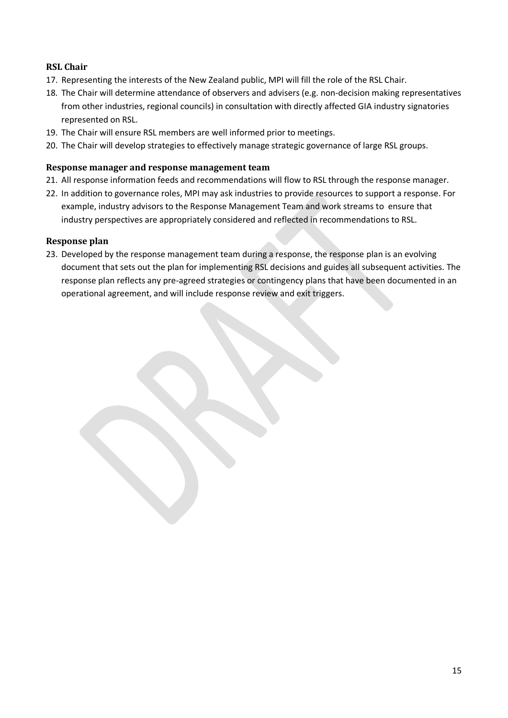### **RSL Chair**

- 17. Representing the interests of the New Zealand public, MPI will fill the role of the RSL Chair.
- 18. The Chair will determine attendance of observers and advisers (e.g. non-decision making representatives from other industries, regional councils) in consultation with directly affected GIA industry signatories represented on RSL.
- 19. The Chair will ensure RSL members are well informed prior to meetings.
- 20. The Chair will develop strategies to effectively manage strategic governance of large RSL groups.

#### **Response manager and response management team**

- 21. All response information feeds and recommendations will flow to RSL through the response manager.
- 22. In addition to governance roles, MPI may ask industries to provide resources to support a response. For example, industry advisors to the Response Management Team and work streams to ensure that industry perspectives are appropriately considered and reflected in recommendations to RSL.

#### **Response plan**

23. Developed by the response management team during a response, the response plan is an evolving document that sets out the plan for implementing RSL decisions and guides all subsequent activities. The response plan reflects any pre-agreed strategies or contingency plans that have been documented in an operational agreement, and will include response review and exit triggers.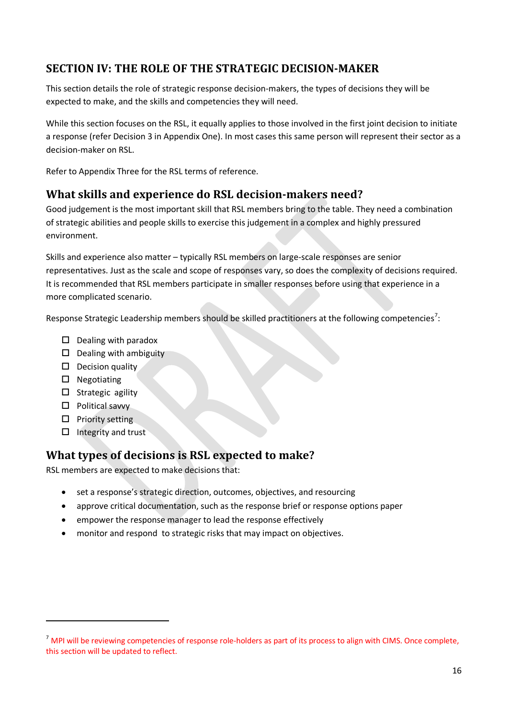### <span id="page-21-0"></span>**SECTION IV: THE ROLE OF THE STRATEGIC DECISION-MAKER**

This section details the role of strategic response decision-makers, the types of decisions they will be expected to make, and the skills and competencies they will need.

While this section focuses on the RSL, it equally applies to those involved in the first joint decision to initiate a response (refer Decision 3 in Appendix One). In most cases this same person will represent their sector as a decision-maker on RSL.

Refer to Appendix Three for the RSL terms of reference.

### <span id="page-21-1"></span>**What skills and experience do RSL decision-makers need?**

Good judgement is the most important skill that RSL members bring to the table. They need a combination of strategic abilities and people skills to exercise this judgement in a complex and highly pressured environment.

Skills and experience also matter – typically RSL members on large-scale responses are senior representatives. Just as the scale and scope of responses vary, so does the complexity of decisions required. It is recommended that RSL members participate in smaller responses before using that experience in a more complicated scenario.

Response Strategic Leadership members should be skilled practitioners at the following competencies<sup>[7](#page-21-3)</sup>:

- $\square$  Dealing with paradox
- $\square$  Dealing with ambiguity
- $\square$  Decision quality
- $\square$  Negotiating
- $\square$  Strategic agility
- $\square$  Political savvy
- $\Box$  Priority setting

**.** 

 $\Box$  Integrity and trust

### <span id="page-21-2"></span>**What types of decisions is RSL expected to make?**

RSL members are expected to make decisions that:

- set a response's strategic direction, outcomes, objectives, and resourcing
- approve critical documentation, such as the response brief or response options paper
- empower the response manager to lead the response effectively
- monitor and respond to strategic risks that may impact on objectives.

<span id="page-21-3"></span> $<sup>7</sup>$  MPI will be reviewing competencies of response role-holders as part of its process to align with CIMS. Once complete,</sup> this section will be updated to reflect.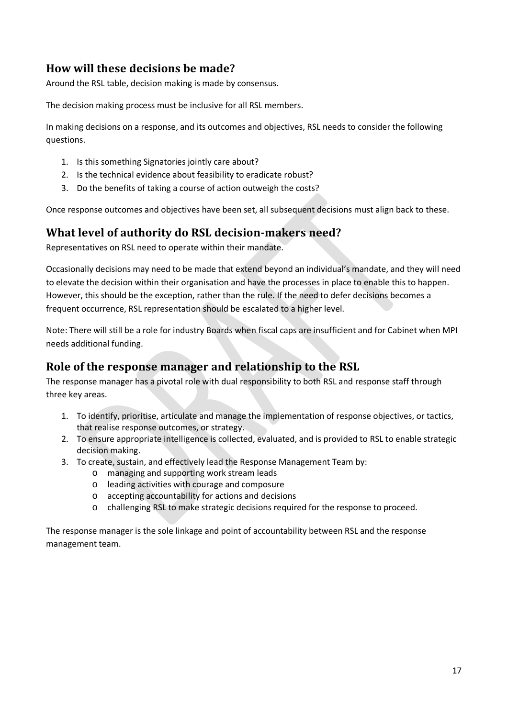# <span id="page-22-0"></span>**How will these decisions be made?**

Around the RSL table, decision making is made by consensus.

The decision making process must be inclusive for all RSL members.

In making decisions on a response, and its outcomes and objectives, RSL needs to consider the following questions.

- 1. Is this something Signatories jointly care about?
- 2. Is the technical evidence about feasibility to eradicate robust?
- 3. Do the benefits of taking a course of action outweigh the costs?

Once response outcomes and objectives have been set, all subsequent decisions must align back to these.

### <span id="page-22-1"></span>**What level of authority do RSL decision-makers need?**

Representatives on RSL need to operate within their mandate.

Occasionally decisions may need to be made that extend beyond an individual's mandate, and they will need to elevate the decision within their organisation and have the processes in place to enable this to happen. However, this should be the exception, rather than the rule. If the need to defer decisions becomes a frequent occurrence, RSL representation should be escalated to a higher level.

Note: There will still be a role for industry Boards when fiscal caps are insufficient and for Cabinet when MPI needs additional funding.

### <span id="page-22-2"></span>**Role of the response manager and relationship to the RSL**

The response manager has a pivotal role with dual responsibility to both RSL and response staff through three key areas.

- 1. To identify, prioritise, articulate and manage the implementation of response objectives, or tactics, that realise response outcomes, or strategy.
- 2. To ensure appropriate intelligence is collected, evaluated, and is provided to RSL to enable strategic decision making.
- 3. To create, sustain, and effectively lead the Response Management Team by:
	- o managing and supporting work stream leads
	- o leading activities with courage and composure
	- o accepting accountability for actions and decisions
	- o challenging RSL to make strategic decisions required for the response to proceed.

The response manager is the sole linkage and point of accountability between RSL and the response management team.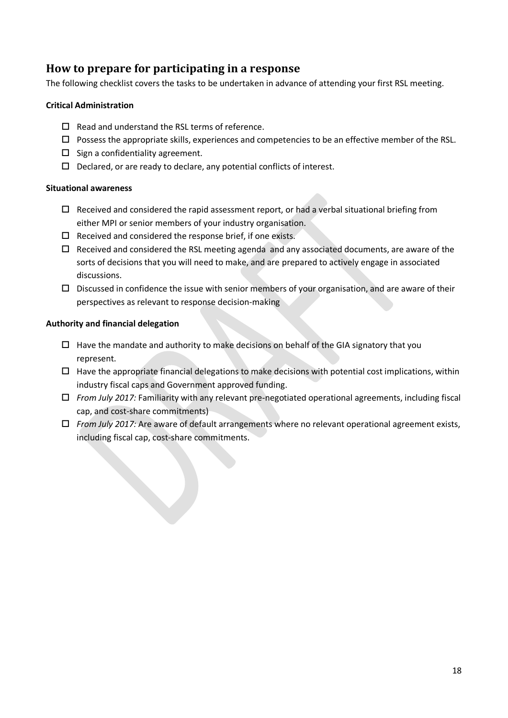### <span id="page-23-0"></span>**How to prepare for participating in a response**

The following checklist covers the tasks to be undertaken in advance of attending your first RSL meeting.

#### **Critical Administration**

- $\Box$  Read and understand the RSL terms of reference.
- $\Box$  Possess the appropriate skills, experiences and competencies to be an effective member of the RSL.
- $\square$  Sign a confidentiality agreement.
- $\Box$  Declared, or are ready to declare, any potential conflicts of interest.

#### **Situational awareness**

- $\square$  Received and considered the rapid assessment report, or had a verbal situational briefing from either MPI or senior members of your industry organisation.
- $\square$  Received and considered the response brief, if one exists.
- $\Box$  Received and considered the RSL meeting agenda and any associated documents, are aware of the sorts of decisions that you will need to make, and are prepared to actively engage in associated discussions.
- $\square$  Discussed in confidence the issue with senior members of your organisation, and are aware of their perspectives as relevant to response decision-making

#### **Authority and financial delegation**

- $\Box$  Have the mandate and authority to make decisions on behalf of the GIA signatory that you represent.
- $\Box$  Have the appropriate financial delegations to make decisions with potential cost implications, within industry fiscal caps and Government approved funding.
- *From July 2017:* Familiarity with any relevant pre-negotiated operational agreements, including fiscal cap, and cost-share commitments)
- *From July 2017:* Are aware of default arrangements where no relevant operational agreement exists, including fiscal cap, cost-share commitments.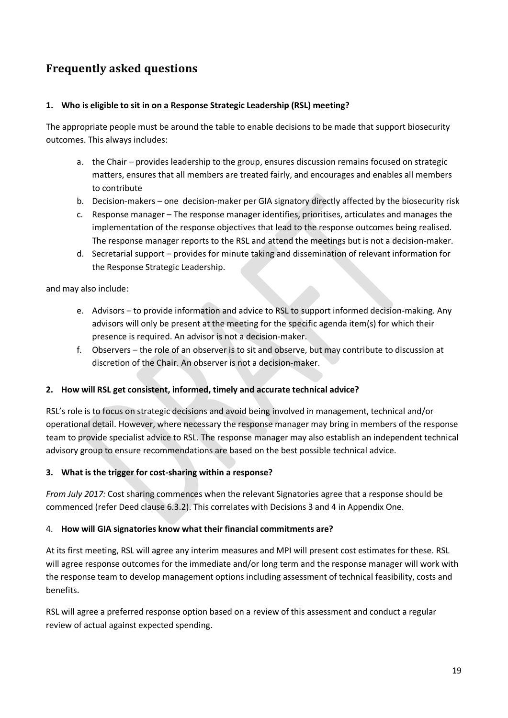# <span id="page-24-0"></span>**Frequently asked questions**

#### **1. Who is eligible to sit in on a Response Strategic Leadership (RSL) meeting?**

The appropriate people must be around the table to enable decisions to be made that support biosecurity outcomes. This always includes:

- a. the Chair provides leadership to the group, ensures discussion remains focused on strategic matters, ensures that all members are treated fairly, and encourages and enables all members to contribute
- b. Decision-makers one decision-maker per GIA signatory directly affected by the biosecurity risk
- c. Response manager The response manager identifies, prioritises, articulates and manages the implementation of the response objectives that lead to the response outcomes being realised. The response manager reports to the RSL and attend the meetings but is not a decision-maker.
- d. Secretarial support provides for minute taking and dissemination of relevant information for the Response Strategic Leadership.

and may also include:

- e. Advisors to provide information and advice to RSL to support informed decision-making. Any advisors will only be present at the meeting for the specific agenda item(s) for which their presence is required. An advisor is not a decision-maker.
- f. Observers the role of an observer is to sit and observe, but may contribute to discussion at discretion of the Chair. An observer is not a decision-maker.

#### **2. How will RSL get consistent, informed, timely and accurate technical advice?**

RSL's role is to focus on strategic decisions and avoid being involved in management, technical and/or operational detail. However, where necessary the response manager may bring in members of the response team to provide specialist advice to RSL. The response manager may also establish an independent technical advisory group to ensure recommendations are based on the best possible technical advice.

#### **3. What is the trigger for cost-sharing within a response?**

*From July 2017:* Cost sharing commences when the relevant Signatories agree that a response should be commenced (refer Deed clause 6.3.2). This correlates with Decisions 3 and 4 in Appendix One.

#### 4. **How will GIA signatories know what their financial commitments are?**

At its first meeting, RSL will agree any interim measures and MPI will present cost estimates for these. RSL will agree response outcomes for the immediate and/or long term and the response manager will work with the response team to develop management options including assessment of technical feasibility, costs and benefits.

RSL will agree a preferred response option based on a review of this assessment and conduct a regular review of actual against expected spending.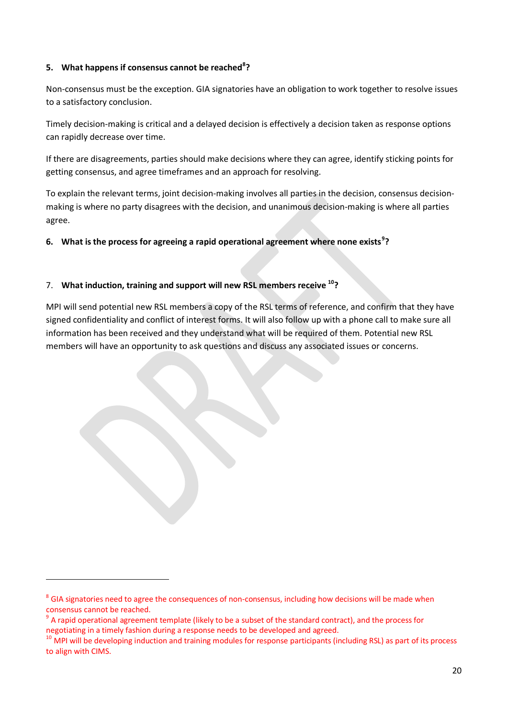#### **5. What happens if consensus cannot be reached[8](#page-25-0) ?**

Non-consensus must be the exception. GIA signatories have an obligation to work together to resolve issues to a satisfactory conclusion.

Timely decision-making is critical and a delayed decision is effectively a decision taken as response options can rapidly decrease over time.

If there are disagreements, parties should make decisions where they can agree, identify sticking points for getting consensus, and agree timeframes and an approach for resolving.

To explain the relevant terms, joint decision-making involves all parties in the decision, consensus decisionmaking is where no party disagrees with the decision, and unanimous decision-making is where all parties agree.

**6. What is the process for agreeing a rapid operational agreement where none exists[9](#page-25-1) ?** 

#### 7. **What induction, training and support will new RSL members receive [10?](#page-25-2)**

MPI will send potential new RSL members a copy of the RSL terms of reference, and confirm that they have signed confidentiality and conflict of interest forms. It will also follow up with a phone call to make sure all information has been received and they understand what will be required of them. Potential new RSL members will have an opportunity to ask questions and discuss any associated issues or concerns.

**.** 

<span id="page-25-0"></span><sup>&</sup>lt;sup>8</sup> GIA signatories need to agree the consequences of non-consensus, including how decisions will be made when consensus cannot be reached.

<span id="page-25-1"></span> $^9$  A rapid operational agreement template (likely to be a subset of the standard contract), and the process for negotiating in a timely fashion during a response needs to be developed and agreed.

<span id="page-25-2"></span> $10$  MPI will be developing induction and training modules for response participants (including RSL) as part of its process to align with CIMS.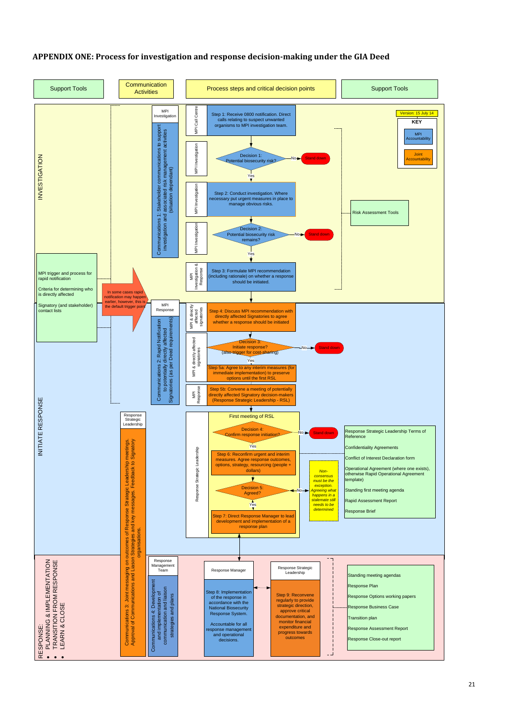### <span id="page-26-0"></span>**APPENDIX ONE: Process for investigation and response decision-making under the GIA Deed**

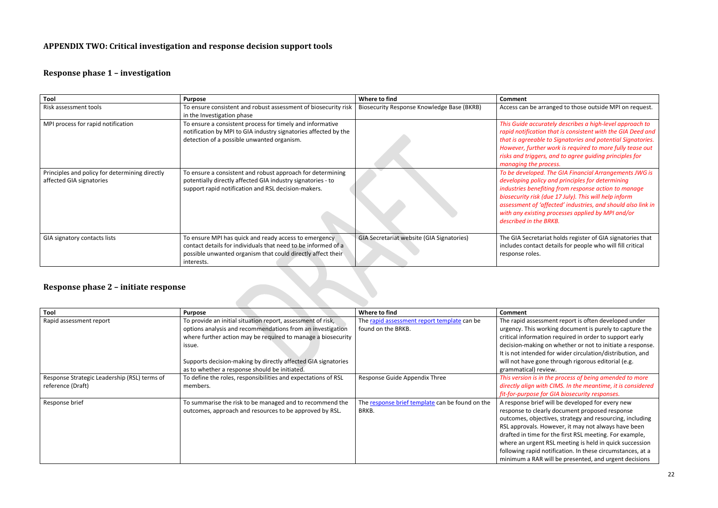### <span id="page-27-0"></span>**APPENDIX TWO: Critical investigation and response decision support tools**

### **Response phase 1 – investigation**

*This Guide accurately describes a high-level approach to rapid notification that is consistent with the GIA Deed and that is agreeable to Signatories and potential Signatories. <i>A However, <i>ter work is required to more fully tease out rs, and to agree guiding principles for managing the process.*

| Tool                                                                       | <b>Purpose</b>                                                                                                                                                                                      | Where to find                              | <b>Comment</b>                                                                                                                          |
|----------------------------------------------------------------------------|-----------------------------------------------------------------------------------------------------------------------------------------------------------------------------------------------------|--------------------------------------------|-----------------------------------------------------------------------------------------------------------------------------------------|
| Risk assessment tools                                                      | To ensure consistent and robust assessment of biosecurity risk<br>in the Investigation phase                                                                                                        | Biosecurity Response Knowledge Base (BKRB) | Access can be a                                                                                                                         |
| MPI process for rapid notification                                         | To ensure a consistent process for timely and informative<br>notification by MPI to GIA industry signatories affected by the<br>detection of a possible unwanted organism.                          |                                            | This Guide accu<br>rapid notificatio<br>that is agreeabl<br>However, furthe<br>risks and trigge<br>managing the p                       |
| Principles and policy for determining directly<br>affected GIA signatories | To ensure a consistent and robust approach for determining<br>potentially directly affected GIA industry signatories - to<br>support rapid notification and RSL decision-makers.                    |                                            | To be developed<br>developing polid<br>industries benej<br>biosecurity risk<br>assessment of 'd<br>with any existin<br>described in the |
| GIA signatory contacts lists                                               | To ensure MPI has quick and ready access to emergency<br>contact details for individuals that need to be informed of a<br>possible unwanted organism that could directly affect their<br>interests. | GIA Secretariat website (GIA Signatories)  | The GIA Secreta<br>includes contact<br>response roles.                                                                                  |

*To be developed. The GIA Financial Arrangements JWG is developing policy and principles for determining fiting from response action to manage biosecurity risk (due 17 July). This will help inform assessment of 'affected' industries, and should also link in with any existing processes applied by MPI and/or described in the BRKB.*

ariat holds register of GIA signatories that t details for people who will fill critical

sment report is often developed under orking document is purely to capture the tion required in order to support early on whether or not to initiate a response. d for wider circulation/distribution, and ne through rigorous editorial (e.g. view.

### **Response phase 2 – initiate response**

| Tool                                         | <b>Purpose</b>                                                | Where to find                                   | <b>Comment</b>     |
|----------------------------------------------|---------------------------------------------------------------|-------------------------------------------------|--------------------|
| Rapid assessment report                      | To provide an initial situation report, assessment of risk,   | The rapid assessment report template can be     | The rapid assess   |
|                                              | options analysis and recommendations from an investigation    | found on the BRKB.                              | urgency. This wo   |
|                                              | where further action may be required to manage a biosecurity  |                                                 | critical informat  |
|                                              | issue.                                                        |                                                 | decision-making    |
|                                              |                                                               |                                                 | It is not intende  |
|                                              | Supports decision-making by directly affected GIA signatories |                                                 | will not have go   |
|                                              | as to whether a response should be initiated.                 |                                                 | grammatical) re    |
| Response Strategic Leadership (RSL) terms of | To define the roles, responsibilities and expectations of RSL | Response Guide Appendix Three                   | This version is in |
| reference (Draft)                            | members.                                                      |                                                 | directly align wi  |
|                                              |                                                               |                                                 | fit-for-purpose f  |
| Response brief                               | To summarise the risk to be managed and to recommend the      | The response brief template can be found on the | A response briet   |
|                                              | outcomes, approach and resources to be approved by RSL.       | BRKB.                                           | response to clea   |
|                                              |                                                               |                                                 | outcomes, objet    |
|                                              |                                                               |                                                 | RSL approvals. H   |
|                                              |                                                               |                                                 | drafted in time f  |
|                                              |                                                               |                                                 | where an urgent    |
|                                              |                                                               |                                                 | following rapid r  |
|                                              |                                                               |                                                 | minimum a RAR      |

Biosecurity Response outside MPI on request.

Response Guide Appendix Three *This version is in the process of being amended to more directly align with CIMS. In the meantime, it is considered fit-for-purpose for GIA biosecurity responses.*

f will be developed for every new arly document proposed response ctives, strategy and resourcing, including However, it may not always have been for the first RSL meeting. For example, t RSL meeting is held in quick succession notification. In these circumstances, at a will be presented, and urgent decisions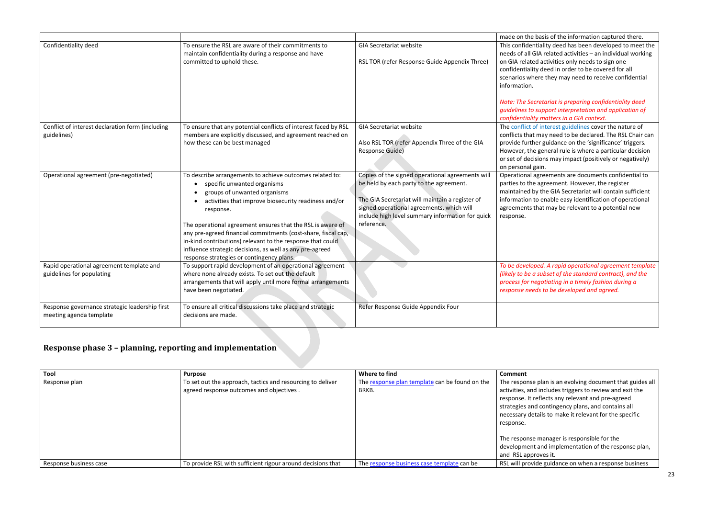| made on the basis of the information captured there.<br>This confidentiality deed has been developed to meet the<br>needs of all GIA related activities - an individual working<br>on GIA related activities only needs to sign one<br>confidentiality deed in order to be covered for all<br>scenarios where they may need to receive confidential<br>information.<br>Note: The Secretariat is preparing confidentiality deed |
|--------------------------------------------------------------------------------------------------------------------------------------------------------------------------------------------------------------------------------------------------------------------------------------------------------------------------------------------------------------------------------------------------------------------------------|
| quidelines to support interpretation and application of<br>confidentiality matters in a GIA context.                                                                                                                                                                                                                                                                                                                           |
| The conflict of interest guidelines cover the nature of<br>conflicts that may need to be declared. The RSL Chair can<br>provide further guidance on the 'significance' triggers.<br>However, the general rule is where a particular decision<br>or set of decisions may impact (positively or negatively)<br>on personal gain.                                                                                                 |
| Operational agreements are documents confidential to<br>parties to the agreement. However, the register<br>maintained by the GIA Secretariat will contain sufficient<br>information to enable easy identification of operational<br>agreements that may be relevant to a potential new<br>response.                                                                                                                            |
| To be developed. A rapid operational agreement template<br>(likely to be a subset of the standard contract), and the<br>process for negotiating in a timely fashion during a<br>response needs to be developed and agreed.                                                                                                                                                                                                     |
|                                                                                                                                                                                                                                                                                                                                                                                                                                |

 $b$ lan is an evolving document that guides all ncludes triggers to review and exit the lects any relevant and pre-agreed contingency plans, and contains all ils to make it relevant for the specific

nanager is responsible for the nd implementation of the response plan, ves it.

e guidance on when a response business

|                                                                           |                                                                                                                                                                                                                                                                                                                                                                                                                                                                                                                 |                                                                                                                                                                                                                                                               | made on the basi                                                                                                              |
|---------------------------------------------------------------------------|-----------------------------------------------------------------------------------------------------------------------------------------------------------------------------------------------------------------------------------------------------------------------------------------------------------------------------------------------------------------------------------------------------------------------------------------------------------------------------------------------------------------|---------------------------------------------------------------------------------------------------------------------------------------------------------------------------------------------------------------------------------------------------------------|-------------------------------------------------------------------------------------------------------------------------------|
| Confidentiality deed                                                      | To ensure the RSL are aware of their commitments to<br>maintain confidentiality during a response and have<br>committed to uphold these.                                                                                                                                                                                                                                                                                                                                                                        | <b>GIA Secretariat website</b><br>RSL TOR (refer Response Guide Appendix Three)                                                                                                                                                                               | This confidentiali<br>needs of all GIA r<br>on GIA related ad<br>confidentiality de<br>scenarios where<br>information.        |
|                                                                           |                                                                                                                                                                                                                                                                                                                                                                                                                                                                                                                 |                                                                                                                                                                                                                                                               | <b>Note: The Secreta</b><br>guidelines to sup<br>confidentiality m                                                            |
| Conflict of interest declaration form (including<br>guidelines)           | To ensure that any potential conflicts of interest faced by RSL<br>members are explicitly discussed, and agreement reached on<br>how these can be best managed                                                                                                                                                                                                                                                                                                                                                  | <b>GIA Secretariat website</b><br>Also RSL TOR (refer Appendix Three of the GIA<br>Response Guide)                                                                                                                                                            | The conflict of inf<br>conflicts that may<br>provide further g<br>However, the ger<br>or set of decision<br>on personal gain. |
| Operational agreement (pre-negotiated)                                    | To describe arrangements to achieve outcomes related to:<br>specific unwanted organisms<br>groups of unwanted organisms<br>activities that improve biosecurity readiness and/or<br>$\bullet$<br>response.<br>The operational agreement ensures that the RSL is aware of<br>any pre-agreed financial commitments (cost-share, fiscal cap,<br>in-kind contributions) relevant to the response that could<br>influence strategic decisions, as well as any pre-agreed<br>response strategies or contingency plans. | Copies of the signed operational agreements will<br>be held by each party to the agreement.<br>The GIA Secretariat will maintain a register of<br>signed operational agreements, which will<br>include high level summary information for quick<br>reference. | Operational agre<br>parties to the agr<br>maintained by th<br>information to er<br>agreements that<br>response.               |
| Rapid operational agreement template and<br>guidelines for populating     | To support rapid development of an operational agreement<br>where none already exists. To set out the default<br>arrangements that will apply until more formal arrangements<br>have been negotiated.                                                                                                                                                                                                                                                                                                           |                                                                                                                                                                                                                                                               | To be developed.<br>(likely to be a sub<br>process for negot<br>response needs to                                             |
| Response governance strategic leadership first<br>meeting agenda template | To ensure all critical discussions take place and strategic<br>decisions are made.                                                                                                                                                                                                                                                                                                                                                                                                                              | Refer Response Guide Appendix Four                                                                                                                                                                                                                            |                                                                                                                               |

# **Response phase 3 – planning, reporting and implementation**

| Tool                   | <b>Purpose</b>                                              | Where to find                                  | <b>Comment</b>     |
|------------------------|-------------------------------------------------------------|------------------------------------------------|--------------------|
| Response plan          | To set out the approach, tactics and resourcing to deliver  | The response plan template can be found on the | The response pla   |
|                        | agreed response outcomes and objectives.                    | BRKB.                                          | activities, and in |
|                        |                                                             |                                                | response. It refl  |
|                        |                                                             |                                                | strategies and co  |
|                        |                                                             |                                                | necessary detail   |
|                        |                                                             |                                                | response.          |
|                        |                                                             |                                                | The response m     |
|                        |                                                             |                                                | development ar     |
|                        |                                                             |                                                | and RSL approv     |
| Response business case | To provide RSL with sufficient rigour around decisions that | The response business case template can be     | RSL will provide   |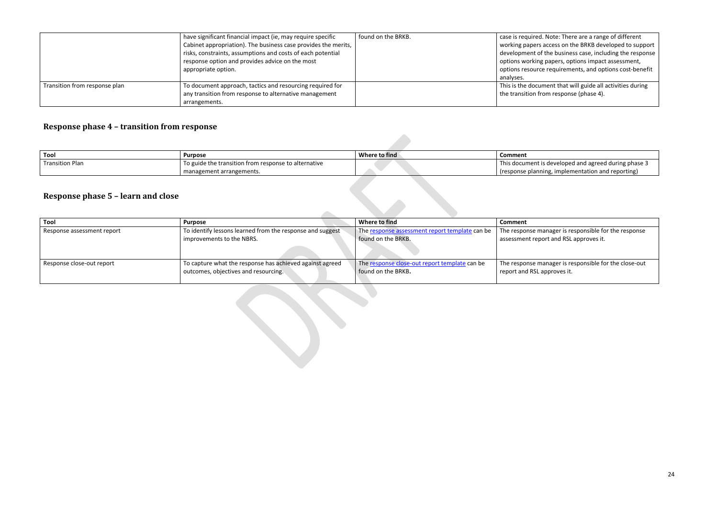|                               | have significant financial impact (ie, may require specific    | found on the BRKB. | case is required.  |
|-------------------------------|----------------------------------------------------------------|--------------------|--------------------|
|                               | Cabinet appropriation). The business case provides the merits, |                    | working papers     |
|                               | risks, constraints, assumptions and costs of each potential    |                    | development of     |
|                               | response option and provides advice on the most                |                    | options working    |
|                               | appropriate option.                                            |                    | options resource   |
|                               |                                                                |                    | analyses.          |
| Transition from response plan | To document approach, tactics and resourcing required for      |                    | This is the docur  |
|                               | any transition from response to alternative management         |                    | the transition fro |
|                               | arrangements.                                                  |                    |                    |

# **Response phase 4 – transition from response**

| Tool                   | <b>Purpose</b>                                       | Where to find | Comment          |
|------------------------|------------------------------------------------------|---------------|------------------|
| <b>Transition Plan</b> | To guide the transition from response to alternative |               | s document is    |
|                        | management arrangements.                             |               | response planni) |

# **Response phase 5 – learn and close**

| Tool                       | Purpose                                                   | Where to find                                  | <b>Comment</b>   |
|----------------------------|-----------------------------------------------------------|------------------------------------------------|------------------|
| Response assessment report | To identify lessons learned from the response and suggest | The response assessment report template can be | The response m   |
|                            | improvements to the NBRS.                                 | found on the BRKB.                             | assessment repo  |
| Response close-out report  | To capture what the response has achieved against agreed  | The response close-out report template can be  | The response m   |
|                            | outcomes, objectives and resourcing.                      | found on the BRKB.                             | report and RSL a |

 $\mathcal{L}$ 

. Note: There are a range of different access on the BRKB developed to support f the business case, including the response g papers, options impact assessment, e requirements, and options cost-benefit

 $\overline{m}$ ent that will guide all activities during om response (phase 4).

is developed and agreed during phase 3  $\frac{r}{r}$  implementation and reporting)

anager is responsible for the response ort and RSL approves it.

nanager is responsible for the close-out approves it.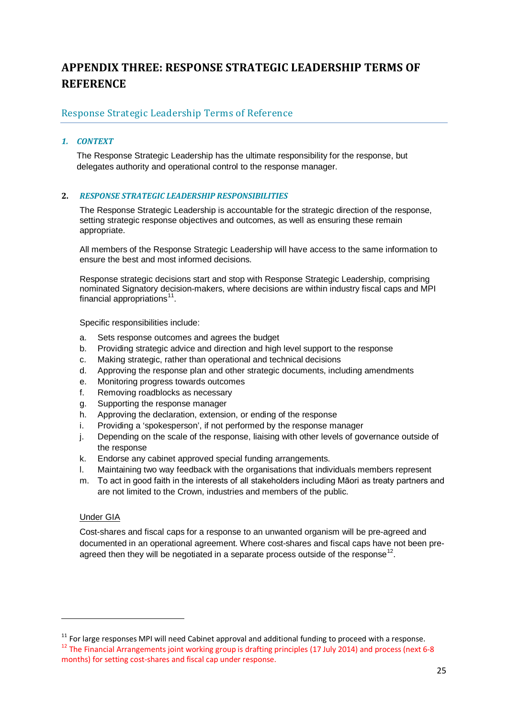# <span id="page-30-0"></span>**APPENDIX THREE: RESPONSE STRATEGIC LEADERSHIP TERMS OF REFERENCE**

#### Response Strategic Leadership Terms of Reference

#### *1. CONTEXT*

The Response Strategic Leadership has the ultimate responsibility for the response, but delegates authority and operational control to the response manager.

#### **2.** *RESPONSE STRATEGIC LEADERSHIP RESPONSIBILITIES*

The Response Strategic Leadership is accountable for the strategic direction of the response, setting strategic response objectives and outcomes, as well as ensuring these remain appropriate.

All members of the Response Strategic Leadership will have access to the same information to ensure the best and most informed decisions.

Response strategic decisions start and stop with Response Strategic Leadership, comprising nominated Signatory decision-makers, where decisions are within industry fiscal caps and MPI financial appropriations $11$ .

Specific responsibilities include:

- a. Sets response outcomes and agrees the budget
- b. Providing strategic advice and direction and high level support to the response
- c. Making strategic, rather than operational and technical decisions
- d. Approving the response plan and other strategic documents, including amendments
- e. Monitoring progress towards outcomes
- f. Removing roadblocks as necessary
- g. Supporting the response manager
- h. Approving the declaration, extension, or ending of the response
- i. Providing a 'spokesperson', if not performed by the response manager
- j. Depending on the scale of the response, liaising with other levels of governance outside of the response
- k. Endorse any cabinet approved special funding arrangements.
- l. Maintaining two way feedback with the organisations that individuals members represent
- m. To act in good faith in the interests of all stakeholders including Māori as treaty partners and are not limited to the Crown, industries and members of the public.

#### Under GIA

 $\overline{a}$ 

Cost-shares and fiscal caps for a response to an unwanted organism will be pre-agreed and documented in an operational agreement. Where cost-shares and fiscal caps have not been pre-agreed then they will be negotiated in a separate process outside of the response<sup>[12](#page-30-2)</sup>.

<span id="page-30-2"></span><span id="page-30-1"></span><sup>&</sup>lt;sup>11</sup> For large responses MPI will need Cabinet approval and additional funding to proceed with a response.<br><sup>12</sup> The Financial Arrangements joint working group is drafting principles (17 July 2014) and process (next 6-8 months) for setting cost-shares and fiscal cap under response.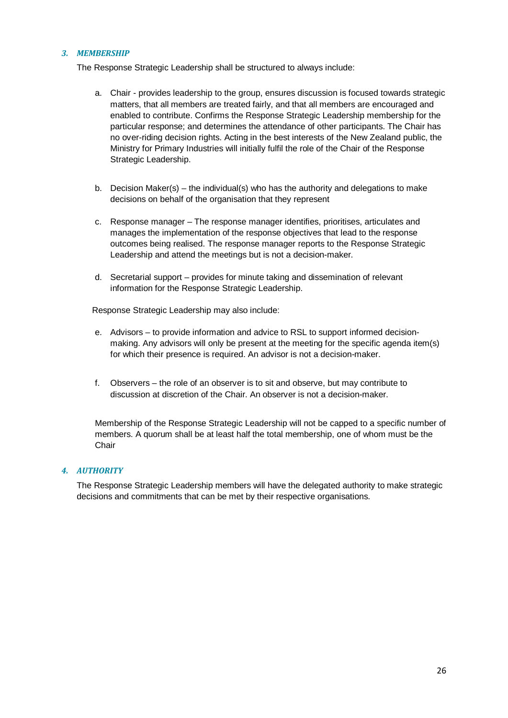#### *3. MEMBERSHIP*

The Response Strategic Leadership shall be structured to always include:

- a. Chair provides leadership to the group, ensures discussion is focused towards strategic matters, that all members are treated fairly, and that all members are encouraged and enabled to contribute. Confirms the Response Strategic Leadership membership for the particular response; and determines the attendance of other participants. The Chair has no over-riding decision rights. Acting in the best interests of the New Zealand public, the Ministry for Primary Industries will initially fulfil the role of the Chair of the Response Strategic Leadership.
- b. Decision Maker(s) the individual(s) who has the authority and delegations to make decisions on behalf of the organisation that they represent
- c. Response manager The response manager identifies, prioritises, articulates and manages the implementation of the response objectives that lead to the response outcomes being realised. The response manager reports to the Response Strategic Leadership and attend the meetings but is not a decision-maker.
- d. Secretarial support provides for minute taking and dissemination of relevant information for the Response Strategic Leadership.

Response Strategic Leadership may also include:

- e. Advisors to provide information and advice to RSL to support informed decisionmaking. Any advisors will only be present at the meeting for the specific agenda item(s) for which their presence is required. An advisor is not a decision-maker.
- f. Observers the role of an observer is to sit and observe, but may contribute to discussion at discretion of the Chair. An observer is not a decision-maker.

Membership of the Response Strategic Leadership will not be capped to a specific number of members. A quorum shall be at least half the total membership, one of whom must be the **Chair** 

#### *4. AUTHORITY*

The Response Strategic Leadership members will have the delegated authority to make strategic decisions and commitments that can be met by their respective organisations.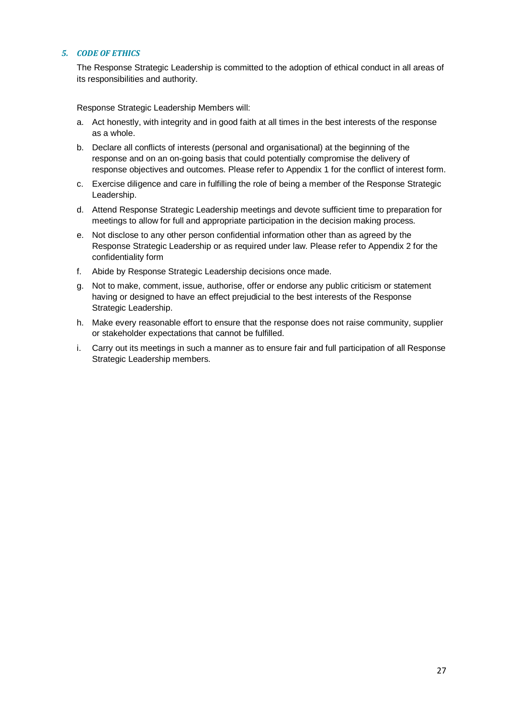#### *5. CODE OF ETHICS*

The Response Strategic Leadership is committed to the adoption of ethical conduct in all areas of its responsibilities and authority.

Response Strategic Leadership Members will:

- a. Act honestly, with integrity and in good faith at all times in the best interests of the response as a whole.
- b. Declare all conflicts of interests (personal and organisational) at the beginning of the response and on an on-going basis that could potentially compromise the delivery of response objectives and outcomes. Please refer to Appendix 1 for the conflict of interest form.
- c. Exercise diligence and care in fulfilling the role of being a member of the Response Strategic Leadership.
- d. Attend Response Strategic Leadership meetings and devote sufficient time to preparation for meetings to allow for full and appropriate participation in the decision making process.
- e. Not disclose to any other person confidential information other than as agreed by the Response Strategic Leadership or as required under law. Please refer to Appendix 2 for the confidentiality form
- f. Abide by Response Strategic Leadership decisions once made.
- g. Not to make, comment, issue, authorise, offer or endorse any public criticism or statement having or designed to have an effect prejudicial to the best interests of the Response Strategic Leadership.
- h. Make every reasonable effort to ensure that the response does not raise community, supplier or stakeholder expectations that cannot be fulfilled.
- i. Carry out its meetings in such a manner as to ensure fair and full participation of all Response Strategic Leadership members.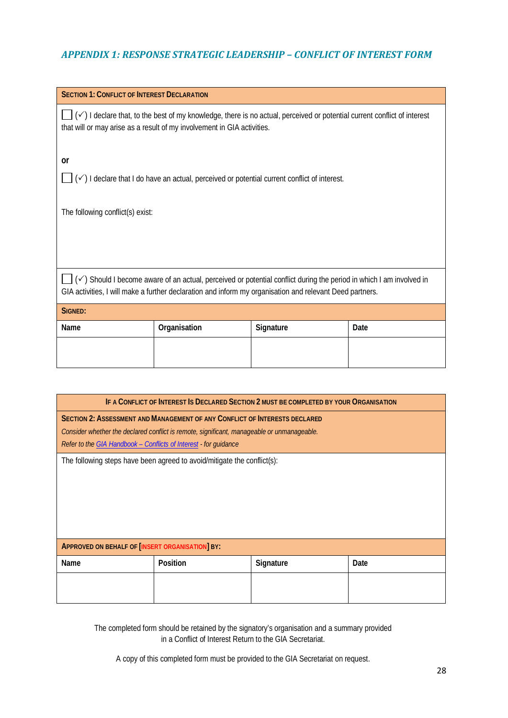### *APPENDIX 1: RESPONSE STRATEGIC LEADERSHIP – CONFLICT OF INTEREST FORM*

| <b>SECTION 1: CONFLICT OF INTEREST DECLARATION</b>                                                                                                                                                  |                                                                                                                                |           |      |  |
|-----------------------------------------------------------------------------------------------------------------------------------------------------------------------------------------------------|--------------------------------------------------------------------------------------------------------------------------------|-----------|------|--|
| (√) I declare that, to the best of my knowledge, there is no actual, perceived or potential current conflict of interest<br>that will or may arise as a result of my involvement in GIA activities. |                                                                                                                                |           |      |  |
| or                                                                                                                                                                                                  |                                                                                                                                |           |      |  |
|                                                                                                                                                                                                     | $(\checkmark)$ I declare that I do have an actual, perceived or potential current conflict of interest.                        |           |      |  |
|                                                                                                                                                                                                     |                                                                                                                                |           |      |  |
| The following conflict(s) exist:                                                                                                                                                                    |                                                                                                                                |           |      |  |
|                                                                                                                                                                                                     |                                                                                                                                |           |      |  |
|                                                                                                                                                                                                     |                                                                                                                                |           |      |  |
|                                                                                                                                                                                                     |                                                                                                                                |           |      |  |
|                                                                                                                                                                                                     | $(\checkmark)$ Should I become aware of an actual, perceived or potential conflict during the period in which I am involved in |           |      |  |
| GIA activities, I will make a further declaration and inform my organisation and relevant Deed partners.                                                                                            |                                                                                                                                |           |      |  |
| SIGNED:                                                                                                                                                                                             |                                                                                                                                |           |      |  |
| Name                                                                                                                                                                                                | Organisation                                                                                                                   | Signature | Date |  |
|                                                                                                                                                                                                     |                                                                                                                                |           |      |  |
|                                                                                                                                                                                                     |                                                                                                                                |           |      |  |
|                                                                                                                                                                                                     |                                                                                                                                |           |      |  |

| IF A CONFLICT OF INTEREST IS DECLARED SECTION 2 MUST BE COMPLETED BY YOUR ORGANISATION     |                                                                            |           |      |
|--------------------------------------------------------------------------------------------|----------------------------------------------------------------------------|-----------|------|
|                                                                                            | SECTION 2: ASSESSMENT AND MANAGEMENT OF ANY CONFLICT OF INTERESTS DECLARED |           |      |
| Consider whether the declared conflict is remote, significant, manageable or unmanageable. |                                                                            |           |      |
| Refer to the GIA Handbook - Conflicts of Interest - for guidance                           |                                                                            |           |      |
|                                                                                            | The following steps have been agreed to avoid/mitigate the conflict(s):    |           |      |
|                                                                                            |                                                                            |           |      |
|                                                                                            |                                                                            |           |      |
|                                                                                            |                                                                            |           |      |
|                                                                                            |                                                                            |           |      |
|                                                                                            |                                                                            |           |      |
|                                                                                            |                                                                            |           |      |
| <b>APPROVED ON BEHALF OF [INSERT ORGANISATION] BY:</b>                                     |                                                                            |           |      |
| Name                                                                                       | Position                                                                   | Signature | Date |
|                                                                                            |                                                                            |           |      |
|                                                                                            |                                                                            |           |      |
|                                                                                            |                                                                            |           |      |

The completed form should be retained by the signatory's organisation and a summary provided in a Conflict of Interest Return to the GIA Secretariat.

A copy of this completed form must be provided to the GIA Secretariat on request.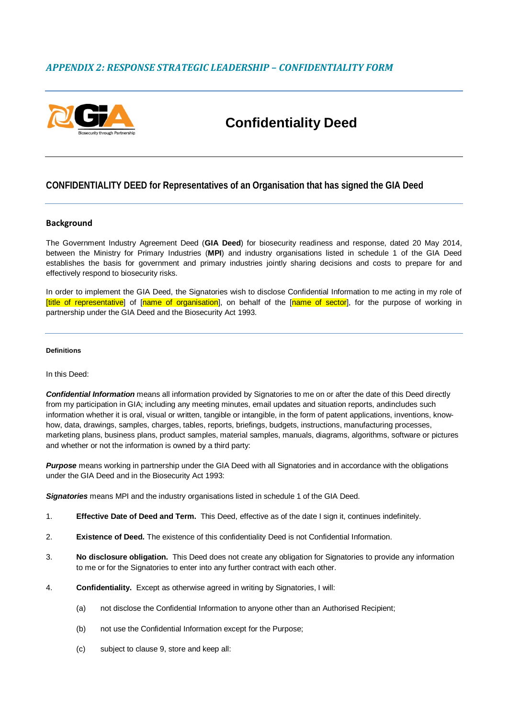#### *APPENDIX 2: RESPONSE STRATEGIC LEADERSHIP – CONFIDENTIALITY FORM*



# **Confidentiality Deed**

#### **CONFIDENTIALITY DEED for Representatives of an Organisation that has signed the GIA Deed**

#### **Background**

The Government Industry Agreement Deed (**GIA Deed**) for biosecurity readiness and response, dated 20 May 2014, between the Ministry for Primary Industries (**MPI**) and industry organisations listed in schedule 1 of the GIA Deed establishes the basis for government and primary industries jointly sharing decisions and costs to prepare for and effectively respond to biosecurity risks.

In order to implement the GIA Deed, the Signatories wish to disclose Confidential Information to me acting in my role of [title of representative] of [name of organisation], on behalf of the [name of sector], for the purpose of working in partnership under the GIA Deed and the Biosecurity Act 1993.

#### **Definitions**

#### In this Deed:

*Confidential Information* means all information provided by Signatories to me on or after the date of this Deed directly from my participation in GIA; including any meeting minutes, email updates and situation reports, andincludes such information whether it is oral, visual or written, tangible or intangible, in the form of patent applications, inventions, knowhow, data, drawings, samples, charges, tables, reports, briefings, budgets, instructions, manufacturing processes, marketing plans, business plans, product samples, material samples, manuals, diagrams, algorithms, software or pictures and whether or not the information is owned by a third party:

*Purpose* means working in partnership under the GIA Deed with all Signatories and in accordance with the obligations under the GIA Deed and in the Biosecurity Act 1993:

*Signatories* means MPI and the industry organisations listed in schedule 1 of the GIA Deed.

- 1. **Effective Date of Deed and Term.** This Deed, effective as of the date I sign it, continues indefinitely.
- 2. **Existence of Deed.** The existence of this confidentiality Deed is not Confidential Information.
- 3. **No disclosure obligation.** This Deed does not create any obligation for Signatories to provide any information to me or for the Signatories to enter into any further contract with each other.
- 4. **Confidentiality.** Except as otherwise agreed in writing by Signatories, I will:
	- (a) not disclose the Confidential Information to anyone other than an Authorised Recipient;
	- (b) not use the Confidential Information except for the Purpose;
	- (c) subject to clause 9, store and keep all: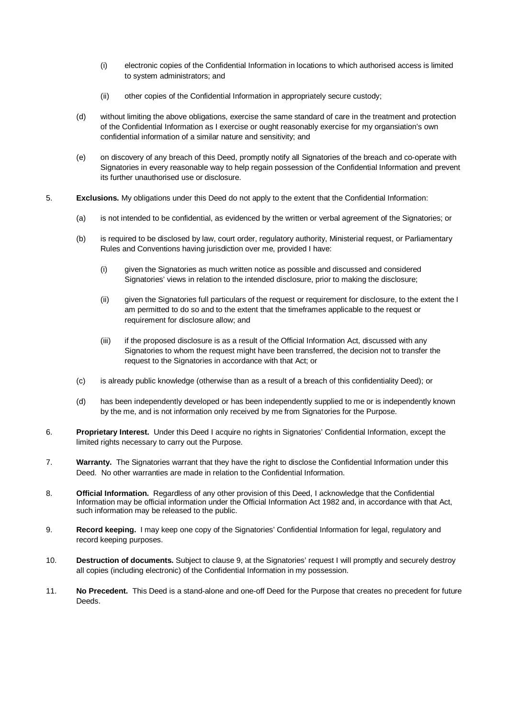- (i) electronic copies of the Confidential Information in locations to which authorised access is limited to system administrators; and
- (ii) other copies of the Confidential Information in appropriately secure custody;
- (d) without limiting the above obligations, exercise the same standard of care in the treatment and protection of the Confidential Information as I exercise or ought reasonably exercise for my organsiation's own confidential information of a similar nature and sensitivity; and
- (e) on discovery of any breach of this Deed, promptly notify all Signatories of the breach and co-operate with Signatories in every reasonable way to help regain possession of the Confidential Information and prevent its further unauthorised use or disclosure.
- 5. **Exclusions.** My obligations under this Deed do not apply to the extent that the Confidential Information:
	- (a) is not intended to be confidential, as evidenced by the written or verbal agreement of the Signatories; or
	- (b) is required to be disclosed by law, court order, regulatory authority, Ministerial request, or Parliamentary Rules and Conventions having jurisdiction over me, provided I have:
		- (i) given the Signatories as much written notice as possible and discussed and considered Signatories' views in relation to the intended disclosure, prior to making the disclosure;
		- (ii) given the Signatories full particulars of the request or requirement for disclosure, to the extent the I am permitted to do so and to the extent that the timeframes applicable to the request or requirement for disclosure allow; and
		- (iii) if the proposed disclosure is as a result of the Official Information Act, discussed with any Signatories to whom the request might have been transferred, the decision not to transfer the request to the Signatories in accordance with that Act; or
	- (c) is already public knowledge (otherwise than as a result of a breach of this confidentiality Deed); or
	- (d) has been independently developed or has been independently supplied to me or is independently known by the me, and is not information only received by me from Signatories for the Purpose.
- 6. **Proprietary Interest.** Under this Deed I acquire no rights in Signatories' Confidential Information, except the limited rights necessary to carry out the Purpose.
- 7. **Warranty.** The Signatories warrant that they have the right to disclose the Confidential Information under this Deed. No other warranties are made in relation to the Confidential Information.
- 8. **Official Information.** Regardless of any other provision of this Deed, I acknowledge that the Confidential Information may be official information under the Official Information Act 1982 and, in accordance with that Act, such information may be released to the public.
- 9. **Record keeping.** I may keep one copy of the Signatories' Confidential Information for legal, regulatory and record keeping purposes.
- 10. **Destruction of documents.** Subject to clause 9, at the Signatories' request I will promptly and securely destroy all copies (including electronic) of the Confidential Information in my possession.
- 11. **No Precedent.** This Deed is a stand-alone and one-off Deed for the Purpose that creates no precedent for future Deeds.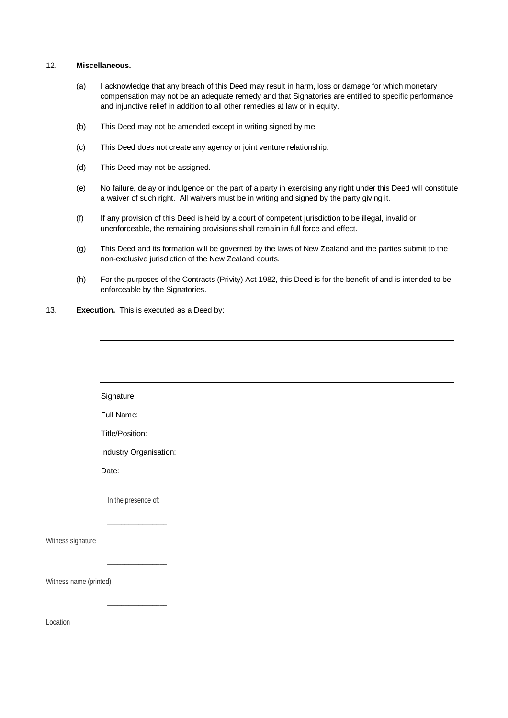#### 12. **Miscellaneous.**

- (a) I acknowledge that any breach of this Deed may result in harm, loss or damage for which monetary compensation may not be an adequate remedy and that Signatories are entitled to specific performance and injunctive relief in addition to all other remedies at law or in equity.
- (b) This Deed may not be amended except in writing signed by me.
- (c) This Deed does not create any agency or joint venture relationship.
- (d) This Deed may not be assigned.
- (e) No failure, delay or indulgence on the part of a party in exercising any right under this Deed will constitute a waiver of such right. All waivers must be in writing and signed by the party giving it.
- (f) If any provision of this Deed is held by a court of competent jurisdiction to be illegal, invalid or unenforceable, the remaining provisions shall remain in full force and effect.
- (g) This Deed and its formation will be governed by the laws of New Zealand and the parties submit to the non-exclusive jurisdiction of the New Zealand courts.
- (h) For the purposes of the Contracts (Privity) Act 1982, this Deed is for the benefit of and is intended to be enforceable by the Signatories.
- 13. **Execution.** This is executed as a Deed by:

 $\overline{\phantom{a}}$  , we can also the set of  $\overline{\phantom{a}}$ 

|                        | Signature              |
|------------------------|------------------------|
|                        | Full Name:             |
|                        | Title/Position:        |
|                        | Industry Organisation: |
|                        | Date:                  |
|                        | In the presence of:    |
|                        |                        |
| Witness signature      |                        |
|                        |                        |
| Witness name (printed) |                        |

Location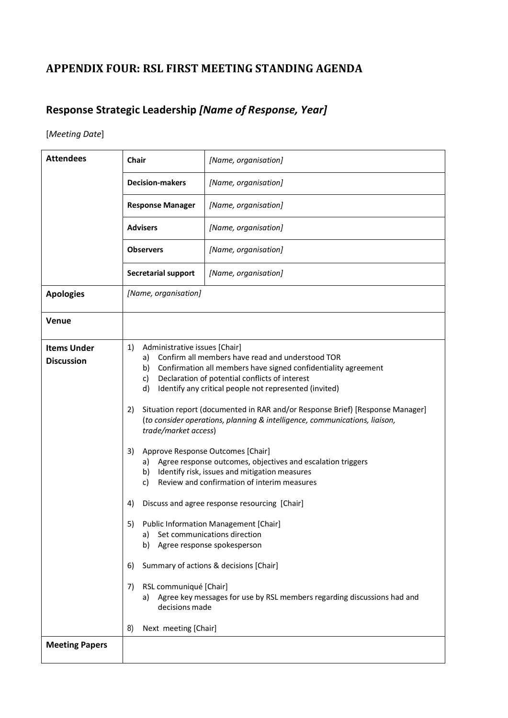# <span id="page-37-0"></span>**APPENDIX FOUR: RSL FIRST MEETING STANDING AGENDA**

# **Response Strategic Leadership** *[Name of Response, Year]*

### [*Meeting Date*]

| <b>Attendees</b>                        | <b>Chair</b>                                                                                                                                                                                                                                                                                                                                                                                                                                                                                                                                                                                                                                                                                                                                                                                                                                                                                                                                                                                                                                                                            | [Name, organisation] |
|-----------------------------------------|-----------------------------------------------------------------------------------------------------------------------------------------------------------------------------------------------------------------------------------------------------------------------------------------------------------------------------------------------------------------------------------------------------------------------------------------------------------------------------------------------------------------------------------------------------------------------------------------------------------------------------------------------------------------------------------------------------------------------------------------------------------------------------------------------------------------------------------------------------------------------------------------------------------------------------------------------------------------------------------------------------------------------------------------------------------------------------------------|----------------------|
|                                         | <b>Decision-makers</b>                                                                                                                                                                                                                                                                                                                                                                                                                                                                                                                                                                                                                                                                                                                                                                                                                                                                                                                                                                                                                                                                  | [Name, organisation] |
|                                         | <b>Response Manager</b>                                                                                                                                                                                                                                                                                                                                                                                                                                                                                                                                                                                                                                                                                                                                                                                                                                                                                                                                                                                                                                                                 | [Name, organisation] |
|                                         | <b>Advisers</b>                                                                                                                                                                                                                                                                                                                                                                                                                                                                                                                                                                                                                                                                                                                                                                                                                                                                                                                                                                                                                                                                         | [Name, organisation] |
|                                         | <b>Observers</b>                                                                                                                                                                                                                                                                                                                                                                                                                                                                                                                                                                                                                                                                                                                                                                                                                                                                                                                                                                                                                                                                        | [Name, organisation] |
|                                         | <b>Secretarial support</b>                                                                                                                                                                                                                                                                                                                                                                                                                                                                                                                                                                                                                                                                                                                                                                                                                                                                                                                                                                                                                                                              | [Name, organisation] |
| <b>Apologies</b>                        | [Name, organisation]                                                                                                                                                                                                                                                                                                                                                                                                                                                                                                                                                                                                                                                                                                                                                                                                                                                                                                                                                                                                                                                                    |                      |
| <b>Venue</b>                            |                                                                                                                                                                                                                                                                                                                                                                                                                                                                                                                                                                                                                                                                                                                                                                                                                                                                                                                                                                                                                                                                                         |                      |
| <b>Items Under</b><br><b>Discussion</b> | Administrative issues [Chair]<br>1)<br>Confirm all members have read and understood TOR<br>a)<br>Confirmation all members have signed confidentiality agreement<br>b)<br>Declaration of potential conflicts of interest<br>c)<br>d)<br>Identify any critical people not represented (invited)<br>Situation report (documented in RAR and/or Response Brief) [Response Manager]<br>2)<br>(to consider operations, planning & intelligence, communications, liaison,<br>trade/market access)<br>3)<br>Approve Response Outcomes [Chair]<br>Agree response outcomes, objectives and escalation triggers<br>a)<br>b) Identify risk, issues and mitigation measures<br>Review and confirmation of interim measures<br>c)<br>Discuss and agree response resourcing [Chair]<br>4)<br>Public Information Management [Chair]<br>5)<br>Set communications direction<br>a)<br>Agree response spokesperson<br>b)<br>Summary of actions & decisions [Chair]<br>6)<br>RSL communiqué [Chair]<br>7)<br>Agree key messages for use by RSL members regarding discussions had and<br>a)<br>decisions made |                      |
| <b>Meeting Papers</b>                   | 8)<br>Next meeting [Chair]                                                                                                                                                                                                                                                                                                                                                                                                                                                                                                                                                                                                                                                                                                                                                                                                                                                                                                                                                                                                                                                              |                      |
|                                         |                                                                                                                                                                                                                                                                                                                                                                                                                                                                                                                                                                                                                                                                                                                                                                                                                                                                                                                                                                                                                                                                                         |                      |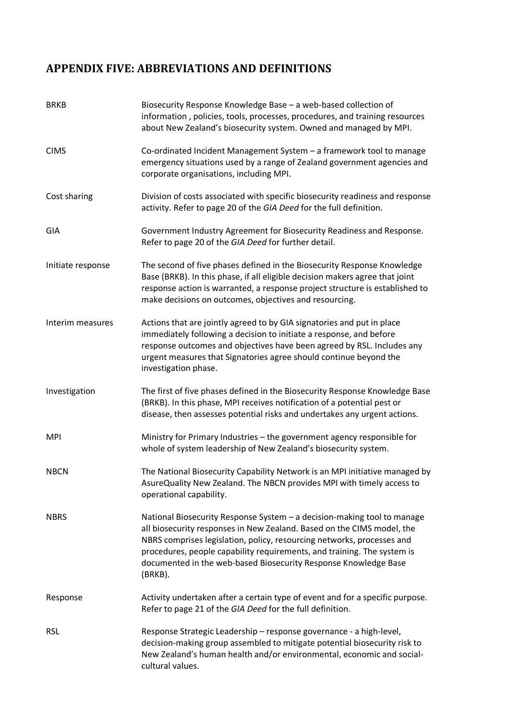# <span id="page-38-0"></span>**APPENDIX FIVE: ABBREVIATIONS AND DEFINITIONS**

| <b>BRKB</b>       | Biosecurity Response Knowledge Base - a web-based collection of<br>information, policies, tools, processes, procedures, and training resources<br>about New Zealand's biosecurity system. Owned and managed by MPI.                                                                                                                                                                  |
|-------------------|--------------------------------------------------------------------------------------------------------------------------------------------------------------------------------------------------------------------------------------------------------------------------------------------------------------------------------------------------------------------------------------|
| <b>CIMS</b>       | Co-ordinated Incident Management System - a framework tool to manage<br>emergency situations used by a range of Zealand government agencies and<br>corporate organisations, including MPI.                                                                                                                                                                                           |
| Cost sharing      | Division of costs associated with specific biosecurity readiness and response<br>activity. Refer to page 20 of the GIA Deed for the full definition.                                                                                                                                                                                                                                 |
| GIA               | Government Industry Agreement for Biosecurity Readiness and Response.<br>Refer to page 20 of the GIA Deed for further detail.                                                                                                                                                                                                                                                        |
| Initiate response | The second of five phases defined in the Biosecurity Response Knowledge<br>Base (BRKB). In this phase, if all eligible decision makers agree that joint<br>response action is warranted, a response project structure is established to<br>make decisions on outcomes, objectives and resourcing.                                                                                    |
| Interim measures  | Actions that are jointly agreed to by GIA signatories and put in place<br>immediately following a decision to initiate a response, and before<br>response outcomes and objectives have been agreed by RSL. Includes any<br>urgent measures that Signatories agree should continue beyond the<br>investigation phase.                                                                 |
| Investigation     | The first of five phases defined in the Biosecurity Response Knowledge Base<br>(BRKB). In this phase, MPI receives notification of a potential pest or<br>disease, then assesses potential risks and undertakes any urgent actions.                                                                                                                                                  |
| <b>MPI</b>        | Ministry for Primary Industries - the government agency responsible for<br>whole of system leadership of New Zealand's biosecurity system.                                                                                                                                                                                                                                           |
| <b>NBCN</b>       | The National Biosecurity Capability Network is an MPI initiative managed by<br>AsureQuality New Zealand. The NBCN provides MPI with timely access to<br>operational capability.                                                                                                                                                                                                      |
| <b>NBRS</b>       | National Biosecurity Response System - a decision-making tool to manage<br>all biosecurity responses in New Zealand. Based on the CIMS model, the<br>NBRS comprises legislation, policy, resourcing networks, processes and<br>procedures, people capability requirements, and training. The system is<br>documented in the web-based Biosecurity Response Knowledge Base<br>(BRKB). |
| Response          | Activity undertaken after a certain type of event and for a specific purpose.<br>Refer to page 21 of the GIA Deed for the full definition.                                                                                                                                                                                                                                           |
| <b>RSL</b>        | Response Strategic Leadership - response governance - a high-level,<br>decision-making group assembled to mitigate potential biosecurity risk to<br>New Zealand's human health and/or environmental, economic and social-<br>cultural values.                                                                                                                                        |